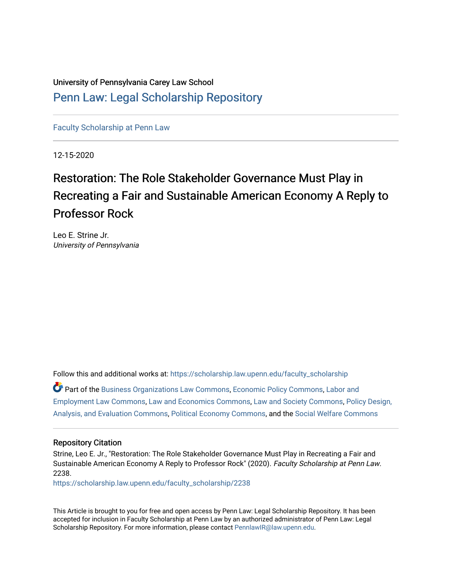University of Pennsylvania Carey Law School [Penn Law: Legal Scholarship Repository](https://scholarship.law.upenn.edu/)

[Faculty Scholarship at Penn Law](https://scholarship.law.upenn.edu/faculty_scholarship)

12-15-2020

# Restoration: The Role Stakeholder Governance Must Play in Recreating a Fair and Sustainable American Economy A Reply to Professor Rock

Leo E. Strine Jr. University of Pennsylvania

Follow this and additional works at: [https://scholarship.law.upenn.edu/faculty\\_scholarship](https://scholarship.law.upenn.edu/faculty_scholarship?utm_source=scholarship.law.upenn.edu%2Ffaculty_scholarship%2F2238&utm_medium=PDF&utm_campaign=PDFCoverPages) 

Part of the [Business Organizations Law Commons](http://network.bepress.com/hgg/discipline/900?utm_source=scholarship.law.upenn.edu%2Ffaculty_scholarship%2F2238&utm_medium=PDF&utm_campaign=PDFCoverPages), [Economic Policy Commons,](http://network.bepress.com/hgg/discipline/1025?utm_source=scholarship.law.upenn.edu%2Ffaculty_scholarship%2F2238&utm_medium=PDF&utm_campaign=PDFCoverPages) [Labor and](http://network.bepress.com/hgg/discipline/909?utm_source=scholarship.law.upenn.edu%2Ffaculty_scholarship%2F2238&utm_medium=PDF&utm_campaign=PDFCoverPages)  [Employment Law Commons](http://network.bepress.com/hgg/discipline/909?utm_source=scholarship.law.upenn.edu%2Ffaculty_scholarship%2F2238&utm_medium=PDF&utm_campaign=PDFCoverPages), [Law and Economics Commons](http://network.bepress.com/hgg/discipline/612?utm_source=scholarship.law.upenn.edu%2Ffaculty_scholarship%2F2238&utm_medium=PDF&utm_campaign=PDFCoverPages), [Law and Society Commons,](http://network.bepress.com/hgg/discipline/853?utm_source=scholarship.law.upenn.edu%2Ffaculty_scholarship%2F2238&utm_medium=PDF&utm_campaign=PDFCoverPages) [Policy Design,](http://network.bepress.com/hgg/discipline/1032?utm_source=scholarship.law.upenn.edu%2Ffaculty_scholarship%2F2238&utm_medium=PDF&utm_campaign=PDFCoverPages)  [Analysis, and Evaluation Commons,](http://network.bepress.com/hgg/discipline/1032?utm_source=scholarship.law.upenn.edu%2Ffaculty_scholarship%2F2238&utm_medium=PDF&utm_campaign=PDFCoverPages) [Political Economy Commons,](http://network.bepress.com/hgg/discipline/352?utm_source=scholarship.law.upenn.edu%2Ffaculty_scholarship%2F2238&utm_medium=PDF&utm_campaign=PDFCoverPages) and the [Social Welfare Commons](http://network.bepress.com/hgg/discipline/401?utm_source=scholarship.law.upenn.edu%2Ffaculty_scholarship%2F2238&utm_medium=PDF&utm_campaign=PDFCoverPages)

#### Repository Citation

Strine, Leo E. Jr., "Restoration: The Role Stakeholder Governance Must Play in Recreating a Fair and Sustainable American Economy A Reply to Professor Rock" (2020). Faculty Scholarship at Penn Law. 2238.

[https://scholarship.law.upenn.edu/faculty\\_scholarship/2238](https://scholarship.law.upenn.edu/faculty_scholarship/2238?utm_source=scholarship.law.upenn.edu%2Ffaculty_scholarship%2F2238&utm_medium=PDF&utm_campaign=PDFCoverPages)

This Article is brought to you for free and open access by Penn Law: Legal Scholarship Repository. It has been accepted for inclusion in Faculty Scholarship at Penn Law by an authorized administrator of Penn Law: Legal Scholarship Repository. For more information, please contact [PennlawIR@law.upenn.edu.](mailto:PennlawIR@law.upenn.edu)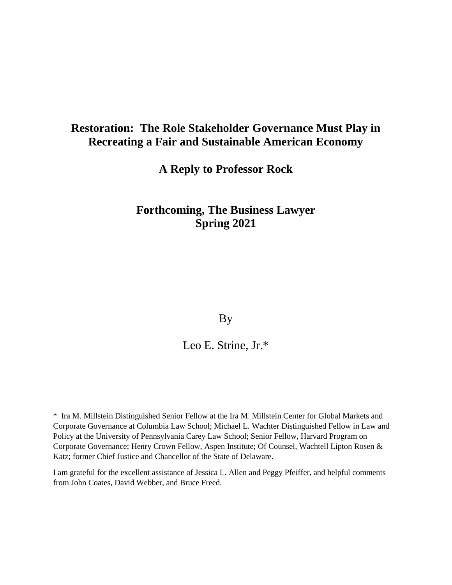# **Restoration: The Role Stakeholder Governance Must Play in Recreating a Fair and Sustainable American Economy**

**A Reply to Professor Rock**

## **Forthcoming, The Business Lawyer Spring 2021**

By

Leo E. Strine, Jr.\*

\* Ira M. Millstein Distinguished Senior Fellow at the Ira M. Millstein Center for Global Markets and Corporate Governance at Columbia Law School; Michael L. Wachter Distinguished Fellow in Law and Policy at the University of Pennsylvania Carey Law School; Senior Fellow, Harvard Program on Corporate Governance; Henry Crown Fellow, Aspen Institute; Of Counsel, Wachtell Lipton Rosen & Katz; former Chief Justice and Chancellor of the State of Delaware.

I am grateful for the excellent assistance of Jessica L. Allen and Peggy Pfeiffer, and helpful comments from John Coates, David Webber, and Bruce Freed.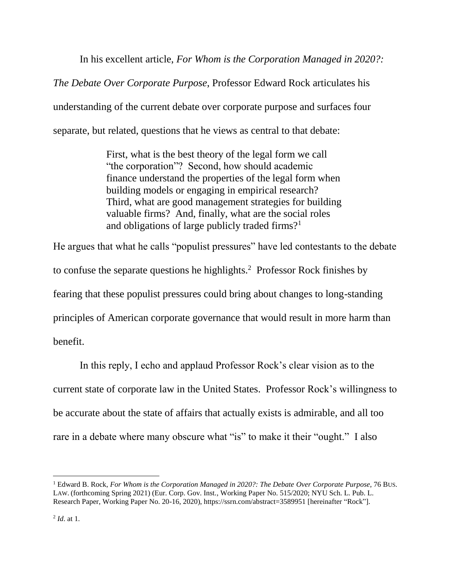In his excellent article, *For Whom is the Corporation Managed in 2020?:*

*The Debate Over Corporate Purpose*, Professor Edward Rock articulates his understanding of the current debate over corporate purpose and surfaces four separate, but related, questions that he views as central to that debate:

> First, what is the best theory of the legal form we call "the corporation"? Second, how should academic finance understand the properties of the legal form when building models or engaging in empirical research? Third, what are good management strategies for building valuable firms? And, finally, what are the social roles and obligations of large publicly traded firms?<sup>1</sup>

He argues that what he calls "populist pressures" have led contestants to the debate to confuse the separate questions he highlights. $2$  Professor Rock finishes by fearing that these populist pressures could bring about changes to long-standing principles of American corporate governance that would result in more harm than benefit.

In this reply, I echo and applaud Professor Rock's clear vision as to the current state of corporate law in the United States. Professor Rock's willingness to be accurate about the state of affairs that actually exists is admirable, and all too rare in a debate where many obscure what "is" to make it their "ought." I also

<sup>1</sup> Edward B. Rock, *For Whom is the Corporation Managed in 2020?: The Debate Over Corporate Purpose*, 76 BUS. LAW. (forthcoming Spring 2021) (Eur. Corp. Gov. Inst., Working Paper No. 515/2020; NYU Sch. L. Pub. L. Research Paper, Working Paper No. 20-16, 2020), https://ssrn.com/abstract=3589951 [hereinafter "Rock"].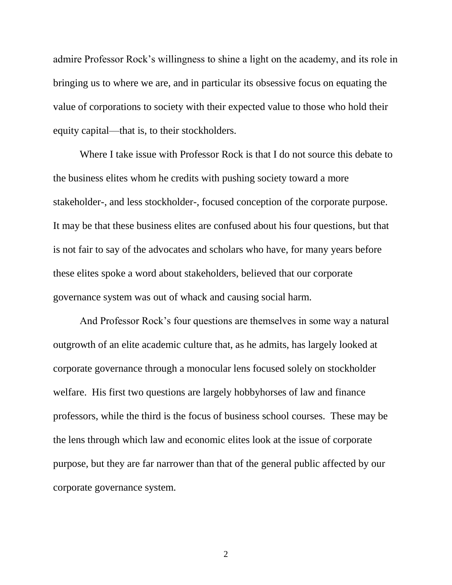admire Professor Rock's willingness to shine a light on the academy, and its role in bringing us to where we are, and in particular its obsessive focus on equating the value of corporations to society with their expected value to those who hold their equity capital—that is, to their stockholders.

Where I take issue with Professor Rock is that I do not source this debate to the business elites whom he credits with pushing society toward a more stakeholder-, and less stockholder-, focused conception of the corporate purpose. It may be that these business elites are confused about his four questions, but that is not fair to say of the advocates and scholars who have, for many years before these elites spoke a word about stakeholders, believed that our corporate governance system was out of whack and causing social harm.

And Professor Rock's four questions are themselves in some way a natural outgrowth of an elite academic culture that, as he admits, has largely looked at corporate governance through a monocular lens focused solely on stockholder welfare. His first two questions are largely hobbyhorses of law and finance professors, while the third is the focus of business school courses. These may be the lens through which law and economic elites look at the issue of corporate purpose, but they are far narrower than that of the general public affected by our corporate governance system.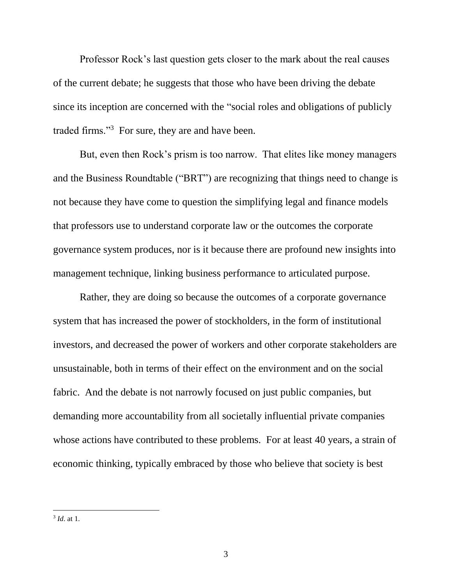Professor Rock's last question gets closer to the mark about the real causes of the current debate; he suggests that those who have been driving the debate since its inception are concerned with the "social roles and obligations of publicly traded firms."<sup>3</sup> For sure, they are and have been.

But, even then Rock's prism is too narrow. That elites like money managers and the Business Roundtable ("BRT") are recognizing that things need to change is not because they have come to question the simplifying legal and finance models that professors use to understand corporate law or the outcomes the corporate governance system produces, nor is it because there are profound new insights into management technique, linking business performance to articulated purpose.

Rather, they are doing so because the outcomes of a corporate governance system that has increased the power of stockholders, in the form of institutional investors, and decreased the power of workers and other corporate stakeholders are unsustainable, both in terms of their effect on the environment and on the social fabric. And the debate is not narrowly focused on just public companies, but demanding more accountability from all societally influential private companies whose actions have contributed to these problems. For at least 40 years, a strain of economic thinking, typically embraced by those who believe that society is best

 3 *Id*. at 1.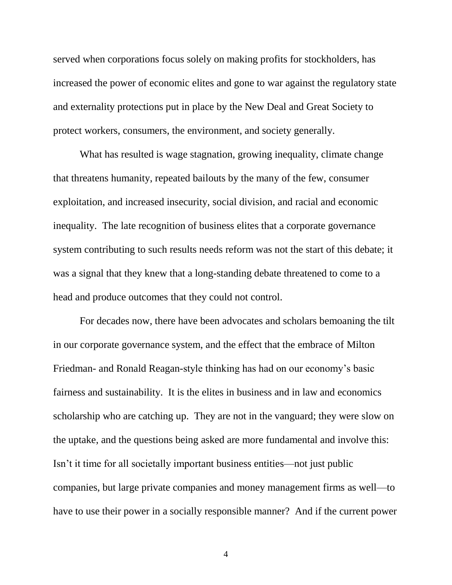served when corporations focus solely on making profits for stockholders, has increased the power of economic elites and gone to war against the regulatory state and externality protections put in place by the New Deal and Great Society to protect workers, consumers, the environment, and society generally.

What has resulted is wage stagnation, growing inequality, climate change that threatens humanity, repeated bailouts by the many of the few, consumer exploitation, and increased insecurity, social division, and racial and economic inequality. The late recognition of business elites that a corporate governance system contributing to such results needs reform was not the start of this debate; it was a signal that they knew that a long-standing debate threatened to come to a head and produce outcomes that they could not control.

For decades now, there have been advocates and scholars bemoaning the tilt in our corporate governance system, and the effect that the embrace of Milton Friedman- and Ronald Reagan-style thinking has had on our economy's basic fairness and sustainability. It is the elites in business and in law and economics scholarship who are catching up. They are not in the vanguard; they were slow on the uptake, and the questions being asked are more fundamental and involve this: Isn't it time for all societally important business entities—not just public companies, but large private companies and money management firms as well—to have to use their power in a socially responsible manner? And if the current power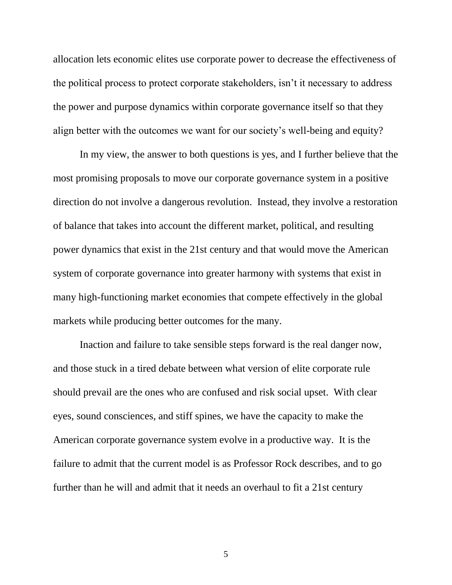allocation lets economic elites use corporate power to decrease the effectiveness of the political process to protect corporate stakeholders, isn't it necessary to address the power and purpose dynamics within corporate governance itself so that they align better with the outcomes we want for our society's well-being and equity?

In my view, the answer to both questions is yes, and I further believe that the most promising proposals to move our corporate governance system in a positive direction do not involve a dangerous revolution. Instead, they involve a restoration of balance that takes into account the different market, political, and resulting power dynamics that exist in the 21st century and that would move the American system of corporate governance into greater harmony with systems that exist in many high-functioning market economies that compete effectively in the global markets while producing better outcomes for the many.

Inaction and failure to take sensible steps forward is the real danger now, and those stuck in a tired debate between what version of elite corporate rule should prevail are the ones who are confused and risk social upset. With clear eyes, sound consciences, and stiff spines, we have the capacity to make the American corporate governance system evolve in a productive way. It is the failure to admit that the current model is as Professor Rock describes, and to go further than he will and admit that it needs an overhaul to fit a 21st century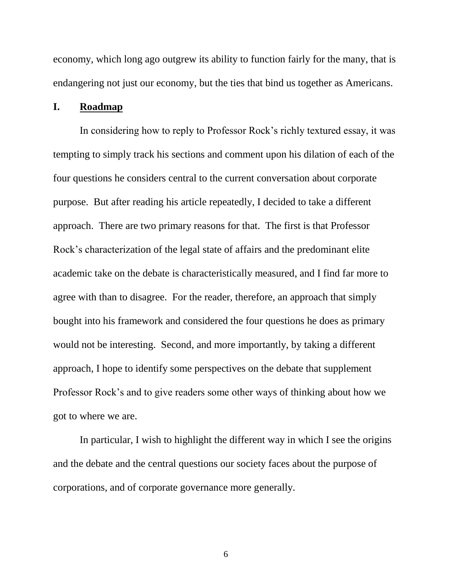economy, which long ago outgrew its ability to function fairly for the many, that is endangering not just our economy, but the ties that bind us together as Americans.

#### **I. Roadmap**

In considering how to reply to Professor Rock's richly textured essay, it was tempting to simply track his sections and comment upon his dilation of each of the four questions he considers central to the current conversation about corporate purpose. But after reading his article repeatedly, I decided to take a different approach. There are two primary reasons for that. The first is that Professor Rock's characterization of the legal state of affairs and the predominant elite academic take on the debate is characteristically measured, and I find far more to agree with than to disagree. For the reader, therefore, an approach that simply bought into his framework and considered the four questions he does as primary would not be interesting. Second, and more importantly, by taking a different approach, I hope to identify some perspectives on the debate that supplement Professor Rock's and to give readers some other ways of thinking about how we got to where we are.

In particular, I wish to highlight the different way in which I see the origins and the debate and the central questions our society faces about the purpose of corporations, and of corporate governance more generally.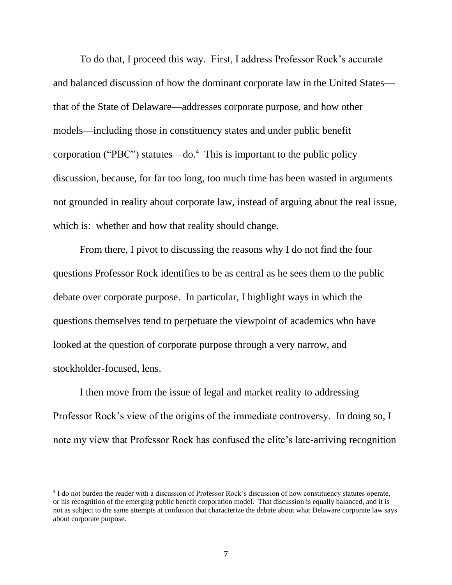To do that, I proceed this way. First, I address Professor Rock's accurate and balanced discussion of how the dominant corporate law in the United States that of the State of Delaware—addresses corporate purpose, and how other models—including those in constituency states and under public benefit corporation ("PBC") statutes—do. 4 This is important to the public policy discussion, because, for far too long, too much time has been wasted in arguments not grounded in reality about corporate law, instead of arguing about the real issue, which is: whether and how that reality should change.

From there, I pivot to discussing the reasons why I do not find the four questions Professor Rock identifies to be as central as he sees them to the public debate over corporate purpose. In particular, I highlight ways in which the questions themselves tend to perpetuate the viewpoint of academics who have looked at the question of corporate purpose through a very narrow, and stockholder-focused, lens.

I then move from the issue of legal and market reality to addressing Professor Rock's view of the origins of the immediate controversy. In doing so, I note my view that Professor Rock has confused the elite's late-arriving recognition

<sup>&</sup>lt;sup>4</sup> I do not burden the reader with a discussion of Professor Rock's discussion of how constituency statutes operate, or his recognition of the emerging public benefit corporation model. That discussion is equally balanced, and it is not as subject to the same attempts at confusion that characterize the debate about what Delaware corporate law says about corporate purpose.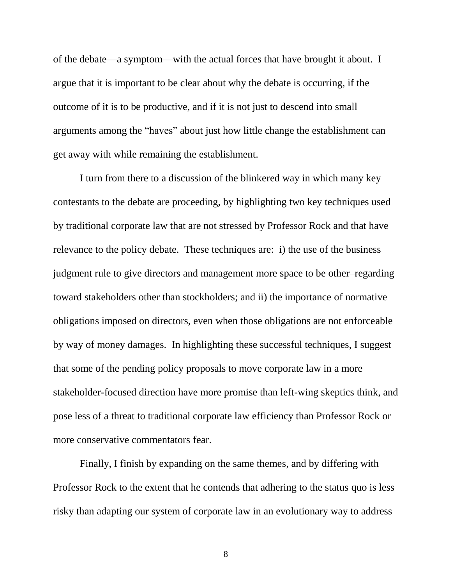of the debate—a symptom—with the actual forces that have brought it about. I argue that it is important to be clear about why the debate is occurring, if the outcome of it is to be productive, and if it is not just to descend into small arguments among the "haves" about just how little change the establishment can get away with while remaining the establishment.

I turn from there to a discussion of the blinkered way in which many key contestants to the debate are proceeding, by highlighting two key techniques used by traditional corporate law that are not stressed by Professor Rock and that have relevance to the policy debate. These techniques are: i) the use of the business judgment rule to give directors and management more space to be other–regarding toward stakeholders other than stockholders; and ii) the importance of normative obligations imposed on directors, even when those obligations are not enforceable by way of money damages. In highlighting these successful techniques, I suggest that some of the pending policy proposals to move corporate law in a more stakeholder-focused direction have more promise than left-wing skeptics think, and pose less of a threat to traditional corporate law efficiency than Professor Rock or more conservative commentators fear.

Finally, I finish by expanding on the same themes, and by differing with Professor Rock to the extent that he contends that adhering to the status quo is less risky than adapting our system of corporate law in an evolutionary way to address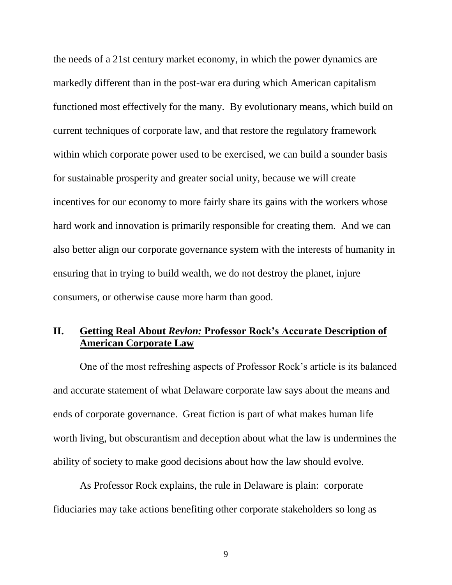the needs of a 21st century market economy, in which the power dynamics are markedly different than in the post-war era during which American capitalism functioned most effectively for the many. By evolutionary means, which build on current techniques of corporate law, and that restore the regulatory framework within which corporate power used to be exercised, we can build a sounder basis for sustainable prosperity and greater social unity, because we will create incentives for our economy to more fairly share its gains with the workers whose hard work and innovation is primarily responsible for creating them. And we can also better align our corporate governance system with the interests of humanity in ensuring that in trying to build wealth, we do not destroy the planet, injure consumers, or otherwise cause more harm than good.

## **II. Getting Real About** *Revlon:* **Professor Rock's Accurate Description of American Corporate Law**

One of the most refreshing aspects of Professor Rock's article is its balanced and accurate statement of what Delaware corporate law says about the means and ends of corporate governance. Great fiction is part of what makes human life worth living, but obscurantism and deception about what the law is undermines the ability of society to make good decisions about how the law should evolve.

As Professor Rock explains, the rule in Delaware is plain: corporate fiduciaries may take actions benefiting other corporate stakeholders so long as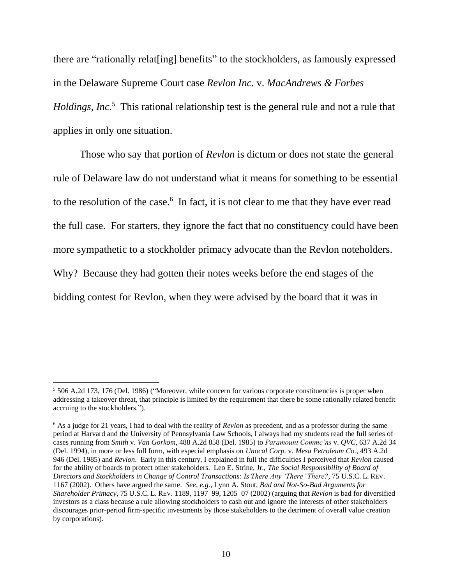there are "rationally relat[ing] benefits" to the stockholders, as famously expressed in the Delaware Supreme Court case *Revlon Inc.* v. *MacAndrews & Forbes Holdings, Inc.*<sup>5</sup> This rational relationship test is the general rule and not a rule that applies in only one situation.

Those who say that portion of *Revlon* is dictum or does not state the general rule of Delaware law do not understand what it means for something to be essential to the resolution of the case.<sup>6</sup> In fact, it is not clear to me that they have ever read the full case. For starters, they ignore the fact that no constituency could have been more sympathetic to a stockholder primacy advocate than the Revlon noteholders. Why? Because they had gotten their notes weeks before the end stages of the bidding contest for Revlon, when they were advised by the board that it was in

<sup>5</sup> 506 A.2d 173, 176 (Del. 1986) ("Moreover, while concern for various corporate constituencies is proper when addressing a takeover threat, that principle is limited by the requirement that there be some rationally related benefit accruing to the stockholders.").

<sup>6</sup> As a judge for 21 years, I had to deal with the reality of *Revlon* as precedent, and as a professor during the same period at Harvard and the University of Pennsylvania Law Schools, I always had my students read the full series of cases running from *Smith* v. *Van Gorkom*, 488 A.2d 858 (Del. 1985) to *Paramount Commc'ns* v. *QVC*, 637 A.2d 34 (Del. 1994), in more or less full form, with especial emphasis on *Unocal Corp.* v. *Mesa Petroleum Co.*, 493 A.2d 946 (Del. 1985) and *Revlon*. Early in this century, I explained in full the difficulties I perceived that *Revlon* caused for the ability of boards to protect other stakeholders. Leo E. Strine, Jr., *The Social Responsibility of Board of Directors and Stockholders in Change of Control Transactions: Is There Any 'There' There?*, 75 U.S.C. L. REV. 1167 (2002). Others have argued the same. *See, e.g.*, Lynn A. Stout, *Bad and Not-So-Bad Arguments for Shareholder Primacy*, 75 U.S.C. L. REV. 1189, 1197–99, 1205–07 (2002) (arguing that *Revlon* is bad for diversified investors as a class because a rule allowing stockholders to cash out and ignore the interests of other stakeholders discourages prior-period firm-specific investments by those stakeholders to the detriment of overall value creation by corporations).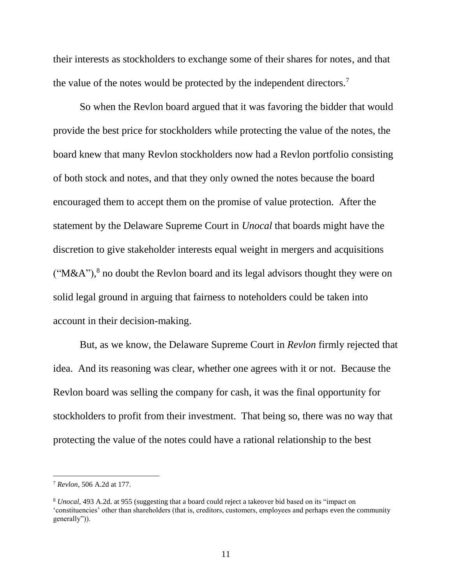their interests as stockholders to exchange some of their shares for notes, and that the value of the notes would be protected by the independent directors.<sup>7</sup>

So when the Revlon board argued that it was favoring the bidder that would provide the best price for stockholders while protecting the value of the notes, the board knew that many Revlon stockholders now had a Revlon portfolio consisting of both stock and notes, and that they only owned the notes because the board encouraged them to accept them on the promise of value protection. After the statement by the Delaware Supreme Court in *Unocal* that boards might have the discretion to give stakeholder interests equal weight in mergers and acquisitions ("M&A"),<sup>8</sup> no doubt the Revlon board and its legal advisors thought they were on solid legal ground in arguing that fairness to noteholders could be taken into account in their decision-making.

But, as we know, the Delaware Supreme Court in *Revlon* firmly rejected that idea. And its reasoning was clear, whether one agrees with it or not. Because the Revlon board was selling the company for cash, it was the final opportunity for stockholders to profit from their investment. That being so, there was no way that protecting the value of the notes could have a rational relationship to the best

<sup>7</sup> *Revlon*, 506 A.2d at 177.

<sup>8</sup> *Unocal*, 493 A.2d. at 955 (suggesting that a board could reject a takeover bid based on its "impact on 'constituencies' other than shareholders (that is, creditors, customers, employees and perhaps even the community generally")).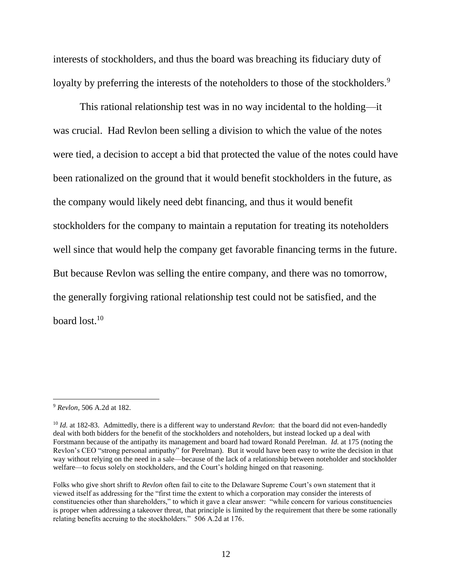interests of stockholders, and thus the board was breaching its fiduciary duty of loyalty by preferring the interests of the noteholders to those of the stockholders.<sup>9</sup>

This rational relationship test was in no way incidental to the holding—it was crucial. Had Revlon been selling a division to which the value of the notes were tied, a decision to accept a bid that protected the value of the notes could have been rationalized on the ground that it would benefit stockholders in the future, as the company would likely need debt financing, and thus it would benefit stockholders for the company to maintain a reputation for treating its noteholders well since that would help the company get favorable financing terms in the future. But because Revlon was selling the entire company, and there was no tomorrow, the generally forgiving rational relationship test could not be satisfied, and the board lost.<sup>10</sup>

<sup>9</sup> *Revlon*, 506 A.2d at 182.

<sup>10</sup> *Id.* at 182-83. Admittedly, there is a different way to understand *Revlon*: that the board did not even-handedly deal with both bidders for the benefit of the stockholders and noteholders, but instead locked up a deal with Forstmann because of the antipathy its management and board had toward Ronald Perelman. *Id.* at 175 (noting the Revlon's CEO "strong personal antipathy" for Perelman). But it would have been easy to write the decision in that way without relying on the need in a sale—because of the lack of a relationship between noteholder and stockholder welfare—to focus solely on stockholders, and the Court's holding hinged on that reasoning.

Folks who give short shrift to *Revlon* often fail to cite to the Delaware Supreme Court's own statement that it viewed itself as addressing for the "first time the extent to which a corporation may consider the interests of constituencies other than shareholders," to which it gave a clear answer: "while concern for various constituencies is proper when addressing a takeover threat, that principle is limited by the requirement that there be some rationally relating benefits accruing to the stockholders." 506 A.2d at 176.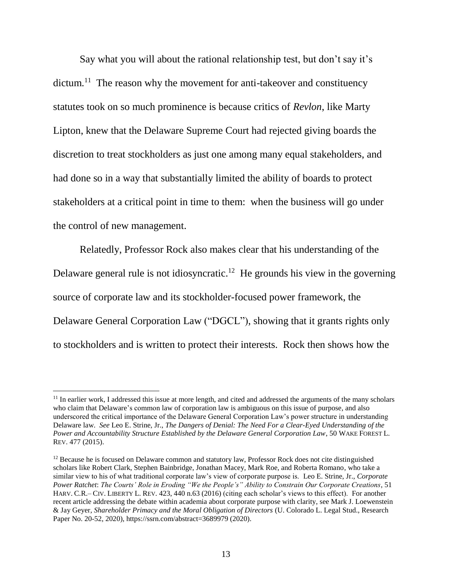Say what you will about the rational relationship test, but don't say it's dictum.<sup>11</sup> The reason why the movement for anti-takeover and constituency statutes took on so much prominence is because critics of *Revlon*, like Marty Lipton, knew that the Delaware Supreme Court had rejected giving boards the discretion to treat stockholders as just one among many equal stakeholders, and had done so in a way that substantially limited the ability of boards to protect stakeholders at a critical point in time to them: when the business will go under the control of new management.

Relatedly, Professor Rock also makes clear that his understanding of the Delaware general rule is not idiosyncratic.<sup>12</sup> He grounds his view in the governing source of corporate law and its stockholder-focused power framework, the Delaware General Corporation Law ("DGCL"), showing that it grants rights only to stockholders and is written to protect their interests. Rock then shows how the

 $<sup>11</sup>$  In earlier work, I addressed this issue at more length, and cited and addressed the arguments of the many scholars</sup> who claim that Delaware's common law of corporation law is ambiguous on this issue of purpose, and also underscored the critical importance of the Delaware General Corporation Law's power structure in understanding Delaware law. *See* Leo E. Strine, Jr., *The Dangers of Denial: The Need For a Clear-Eyed Understanding of the Power and Accountability Structure Established by the Delaware General Corporation Law*, 50 WAKE FOREST L. REV. 477 (2015).

<sup>&</sup>lt;sup>12</sup> Because he is focused on Delaware common and statutory law, Professor Rock does not cite distinguished scholars like Robert Clark, Stephen Bainbridge, Jonathan Macey, Mark Roe, and Roberta Romano, who take a similar view to his of what traditional corporate law's view of corporate purpose is. Leo E. Strine, Jr., *Corporate Power Ratchet*: *The Courts' Role in Eroding "We the People's" Ability to Constrain Our Corporate Creations*, 51 HARV. C.R.– CIV. LIBERTY L. REV. 423, 440 n.63 (2016) (citing each scholar's views to this effect). For another recent article addressing the debate within academia about corporate purpose with clarity, see Mark J. Loewenstein & Jay Geyer, *Shareholder Primacy and the Moral Obligation of Directors* (U. Colorado L. Legal Stud., Research Paper No. 20-52, 2020), https://ssrn.com/abstract=3689979 (2020).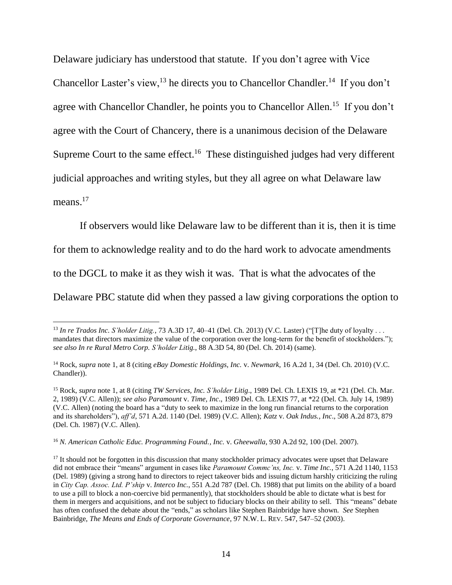Delaware judiciary has understood that statute. If you don't agree with Vice Chancellor Laster's view,  $^{13}$  he directs you to Chancellor Chandler.<sup>14</sup> If you don't agree with Chancellor Chandler, he points you to Chancellor Allen.<sup>15</sup> If you don't agree with the Court of Chancery, there is a unanimous decision of the Delaware Supreme Court to the same effect.<sup>16</sup> These distinguished judges had very different judicial approaches and writing styles, but they all agree on what Delaware law means.<sup>17</sup>

If observers would like Delaware law to be different than it is, then it is time for them to acknowledge reality and to do the hard work to advocate amendments to the DGCL to make it as they wish it was. That is what the advocates of the Delaware PBC statute did when they passed a law giving corporations the option to

<sup>13</sup> *In re Trados Inc. S'holder Litig.*, 73 A.3D 17, 40–41 (Del. Ch. 2013) (V.C. Laster) ("[T]he duty of loyalty . . . mandates that directors maximize the value of the corporation over the long-term for the benefit of stockholders."); *see also In re Rural Metro Corp. S'holder Litig.*, 88 A.3D 54, 80 (Del. Ch. 2014) (same).

<sup>14</sup> Rock, *supra* note 1, at 8 (citing *eBay Domestic Holdings, Inc.* v. *Newmark*, 16 A.2d 1, 34 (Del. Ch. 2010) (V.C. Chandler)).

<sup>&</sup>lt;sup>15</sup> Rock, *supra* note 1, at 8 (citing *TW Services, Inc. S'holder Litig.*, 1989 Del. Ch. LEXIS 19, at \*21 (Del. Ch. Mar. 2, 1989) (V.C. Allen)); *see also Paramount* v. *Time, Inc*., 1989 Del. Ch. LEXIS 77, at \*22 (Del. Ch. July 14, 1989) (V.C. Allen) (noting the board has a "duty to seek to maximize in the long run financial returns to the corporation and its shareholders"), *aff'd*, 571 A.2d. 1140 (Del. 1989) (V.C. Allen); *Katz* v. *Oak Indus., Inc*., 508 A.2d 873, 879 (Del. Ch. 1987) (V.C. Allen).

<sup>16</sup> *N. American Catholic Educ. Programming Found., Inc.* v. *Gheewalla*, 930 A.2d 92, 100 (Del. 2007).

<sup>&</sup>lt;sup>17</sup> It should not be forgotten in this discussion that many stockholder primacy advocates were upset that Delaware did not embrace their "means" argument in cases like *Paramount Commc'ns, Inc.* v. *Time Inc.*, 571 A.2d 1140, 1153 (Del. 1989) (giving a strong hand to directors to reject takeover bids and issuing dictum harshly criticizing the ruling in *City Cap. Assoc. Ltd. P'ship* v. *Interco Inc.*, 551 A.2d 787 (Del. Ch. 1988) that put limits on the ability of a board to use a pill to block a non-coercive bid permanently), that stockholders should be able to dictate what is best for them in mergers and acquisitions, and not be subject to fiduciary blocks on their ability to sell. This "means" debate has often confused the debate about the "ends," as scholars like Stephen Bainbridge have shown. *See* Stephen Bainbridge, *The Means and Ends of Corporate Governance*, 97 N.W. L. REV. 547, 547–52 (2003).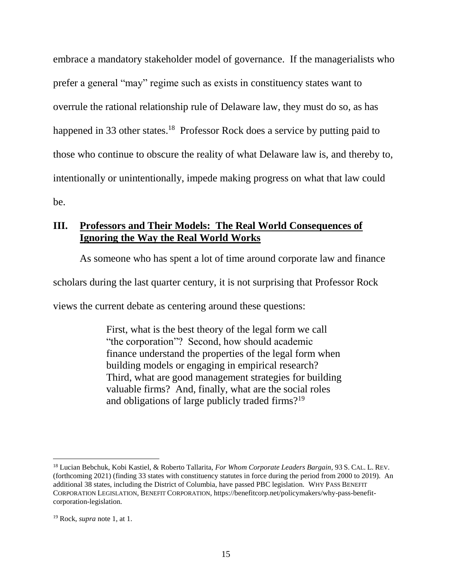embrace a mandatory stakeholder model of governance. If the managerialists who prefer a general "may" regime such as exists in constituency states want to overrule the rational relationship rule of Delaware law, they must do so, as has happened in 33 other states.<sup>18</sup> Professor Rock does a service by putting paid to those who continue to obscure the reality of what Delaware law is, and thereby to, intentionally or unintentionally, impede making progress on what that law could be.

#### **III. Professors and Their Models: The Real World Consequences of Ignoring the Way the Real World Works**

As someone who has spent a lot of time around corporate law and finance

scholars during the last quarter century, it is not surprising that Professor Rock

views the current debate as centering around these questions:

First, what is the best theory of the legal form we call "the corporation"? Second, how should academic finance understand the properties of the legal form when building models or engaging in empirical research? Third, what are good management strategies for building valuable firms? And, finally, what are the social roles and obligations of large publicly traded firms?<sup>19</sup>

<sup>18</sup> Lucian Bebchuk, Kobi Kastiel, & Roberto Tallarita, *For Whom Corporate Leaders Bargain*, 93 S. CAL. L. REV. (forthcoming 2021) (finding 33 states with constituency statutes in force during the period from 2000 to 2019). An additional 38 states, including the District of Columbia, have passed PBC legislation. WHY PASS BENEFIT CORPORATION LEGISLATION, BENEFIT CORPORATION, https://benefitcorp.net/policymakers/why-pass-benefitcorporation-legislation.

<sup>19</sup> Rock, *supra* note 1, at 1.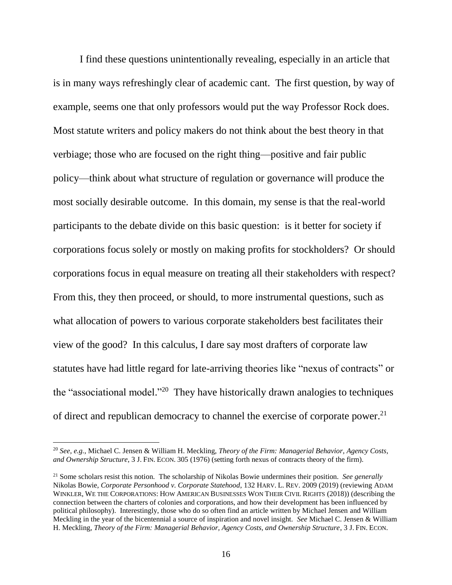I find these questions unintentionally revealing, especially in an article that is in many ways refreshingly clear of academic cant. The first question, by way of example, seems one that only professors would put the way Professor Rock does. Most statute writers and policy makers do not think about the best theory in that verbiage; those who are focused on the right thing—positive and fair public policy—think about what structure of regulation or governance will produce the most socially desirable outcome. In this domain, my sense is that the real-world participants to the debate divide on this basic question: is it better for society if corporations focus solely or mostly on making profits for stockholders? Or should corporations focus in equal measure on treating all their stakeholders with respect? From this, they then proceed, or should, to more instrumental questions, such as what allocation of powers to various corporate stakeholders best facilitates their view of the good? In this calculus, I dare say most drafters of corporate law statutes have had little regard for late-arriving theories like "nexus of contracts" or the "associational model."<sup>20</sup> They have historically drawn analogies to techniques of direct and republican democracy to channel the exercise of corporate power.<sup>21</sup>

<sup>20</sup> *See, e.g.*, Michael C. Jensen & William H. Meckling, *Theory of the Firm: Managerial Behavior, Agency Costs, and Ownership Structure*, 3 J. FIN. ECON. 305 (1976) (setting forth nexus of contracts theory of the firm).

<sup>21</sup> Some scholars resist this notion. The scholarship of Nikolas Bowie undermines their position. *See generally* Nikolas Bowie, *Corporate Personhood v. Corporate Statehood*, 132 HARV. L. REV. 2009 (2019) (reviewing ADAM WINKLER, WE THE CORPORATIONS: HOW AMERICAN BUSINESSES WON THEIR CIVIL RIGHTS (2018)) (describing the connection between the charters of colonies and corporations, and how their development has been influenced by political philosophy). Interestingly, those who do so often find an article written by Michael Jensen and William Meckling in the year of the bicentennial a source of inspiration and novel insight. *See* Michael C. Jensen & William H. Meckling, *Theory of the Firm: Managerial Behavior, Agency Costs, and Ownership Structure*, 3 J. FIN. ECON.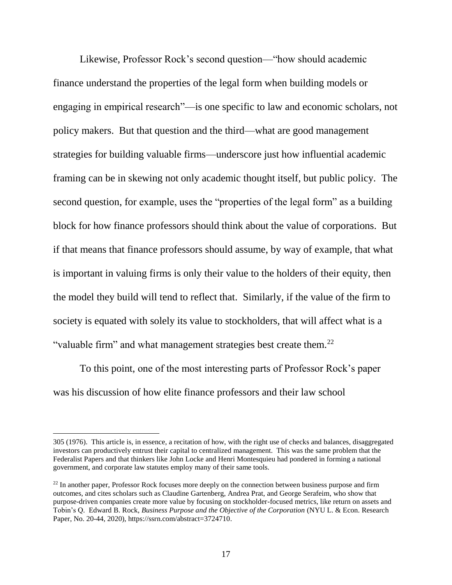Likewise, Professor Rock's second question—"how should academic finance understand the properties of the legal form when building models or engaging in empirical research"—is one specific to law and economic scholars, not policy makers. But that question and the third—what are good management strategies for building valuable firms—underscore just how influential academic framing can be in skewing not only academic thought itself, but public policy. The second question, for example, uses the "properties of the legal form" as a building block for how finance professors should think about the value of corporations. But if that means that finance professors should assume, by way of example, that what is important in valuing firms is only their value to the holders of their equity, then the model they build will tend to reflect that. Similarly, if the value of the firm to society is equated with solely its value to stockholders, that will affect what is a "valuable firm" and what management strategies best create them.<sup>22</sup>

To this point, one of the most interesting parts of Professor Rock's paper was his discussion of how elite finance professors and their law school

<sup>305 (1976).</sup> This article is, in essence, a recitation of how, with the right use of checks and balances, disaggregated investors can productively entrust their capital to centralized management. This was the same problem that the Federalist Papers and that thinkers like John Locke and Henri Montesquieu had pondered in forming a national government, and corporate law statutes employ many of their same tools.

<sup>&</sup>lt;sup>22</sup> In another paper, Professor Rock focuses more deeply on the connection between business purpose and firm outcomes, and cites scholars such as Claudine Gartenberg, Andrea Prat, and George Serafeim, who show that purpose-driven companies create more value by focusing on stockholder-focused metrics, like return on assets and Tobin's Q. Edward B. Rock, *Business Purpose and the Objective of the Corporation* (NYU L. & Econ. Research Paper, No. 20-44, 2020), https://ssrn.com/abstract=3724710.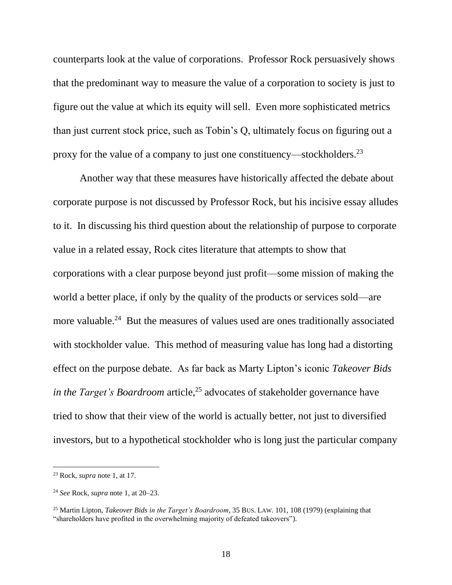counterparts look at the value of corporations. Professor Rock persuasively shows that the predominant way to measure the value of a corporation to society is just to figure out the value at which its equity will sell. Even more sophisticated metrics than just current stock price, such as Tobin's Q, ultimately focus on figuring out a proxy for the value of a company to just one constituency—stockholders.<sup>23</sup>

Another way that these measures have historically affected the debate about corporate purpose is not discussed by Professor Rock, but his incisive essay alludes to it. In discussing his third question about the relationship of purpose to corporate value in a related essay, Rock cites literature that attempts to show that corporations with a clear purpose beyond just profit—some mission of making the world a better place, if only by the quality of the products or services sold—are more valuable.<sup>24</sup> But the measures of values used are ones traditionally associated with stockholder value. This method of measuring value has long had a distorting effect on the purpose debate. As far back as Marty Lipton's iconic *Takeover Bids in the Target's Boardroom* article,<sup>25</sup> advocates of stakeholder governance have tried to show that their view of the world is actually better, not just to diversified investors, but to a hypothetical stockholder who is long just the particular company

<sup>23</sup> Rock, *supra* note 1, at 17.

<sup>24</sup> *See* Rock, *supra* note 1, at 20–23.

<sup>25</sup> Martin Lipton, *Takeover Bids in the Target's Boardroom*, 35 BUS. LAW. 101, 108 (1979) (explaining that "shareholders have profited in the overwhelming majority of defeated takeovers").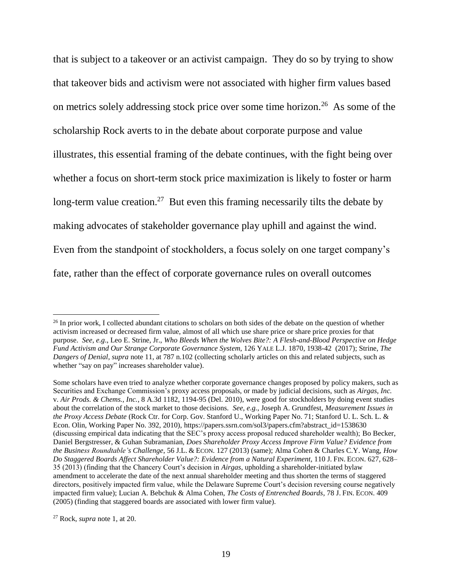that is subject to a takeover or an activist campaign. They do so by trying to show that takeover bids and activism were not associated with higher firm values based on metrics solely addressing stock price over some time horizon.<sup>26</sup> As some of the scholarship Rock averts to in the debate about corporate purpose and value illustrates, this essential framing of the debate continues, with the fight being over whether a focus on short-term stock price maximization is likely to foster or harm long-term value creation.<sup>27</sup> But even this framing necessarily tilts the debate by making advocates of stakeholder governance play uphill and against the wind. Even from the standpoint of stockholders, a focus solely on one target company's fate, rather than the effect of corporate governance rules on overall outcomes

<sup>&</sup>lt;sup>26</sup> In prior work, I collected abundant citations to scholars on both sides of the debate on the question of whether activism increased or decreased firm value, almost of all which use share price or share price proxies for that purpose. *See*, *e.g*., Leo E. Strine, Jr., *Who Bleeds When the Wolves Bite?: A Flesh-and-Blood Perspective on Hedge Fund Activism and Our Strange Corporate Governance System*, 126 YALE L.J. 1870, 1938-42 (2017); Strine, *The Dangers of Denial*, *supra* note 11, at 787 n.102 (collecting scholarly articles on this and related subjects, such as whether "say on pay" increases shareholder value).

Some scholars have even tried to analyze whether corporate governance changes proposed by policy makers, such as Securities and Exchange Commission's proxy access proposals, or made by judicial decisions, such as *Airgas, Inc.*  v. *Air Prods. & Chems., Inc.*, 8 A.3d 1182, 1194-95 (Del. 2010), were good for stockholders by doing event studies about the correlation of the stock market to those decisions. *See, e.g.*, Joseph A. Grundfest, *Measurement Issues in the Proxy Access Debate* (Rock Ctr. for Corp. Gov. Stanford U., Working Paper No. 71; Stanford U. L. Sch. L. & Econ. Olin, Working Paper No. 392, 2010), https://papers.ssrn.com/sol3/papers.cfm?abstract\_id=1538630 (discussing empirical data indicating that the SEC's proxy access proposal reduced shareholder wealth); Bo Becker, Daniel Bergstresser, & Guhan Subramanian, *Does Shareholder Proxy Access Improve Firm Value? Evidence from the Business Roundtable's Challenge*, 56 J.L. & ECON. 127 (2013) (same); Alma Cohen & Charles C.Y. Wang, *How Do Staggered Boards Affect Shareholder Value?: Evidence from a Natural Experiment*, 110 J. FIN. ECON. 627, 628– 35 (2013) (finding that the Chancery Court's decision in *Airgas*, upholding a shareholder-initiated bylaw amendment to accelerate the date of the next annual shareholder meeting and thus shorten the terms of staggered directors, positively impacted firm value, while the Delaware Supreme Court's decision reversing course negatively impacted firm value); Lucian A. Bebchuk & Alma Cohen, *The Costs of Entrenched Boards*, 78 J. FIN. ECON. 409 (2005) (finding that staggered boards are associated with lower firm value).

<sup>27</sup> Rock, *supra* note 1, at 20.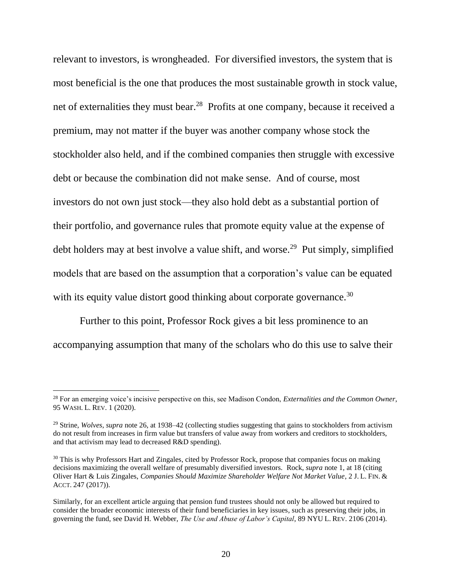relevant to investors, is wrongheaded. For diversified investors, the system that is most beneficial is the one that produces the most sustainable growth in stock value, net of externalities they must bear.<sup>28</sup> Profits at one company, because it received a premium, may not matter if the buyer was another company whose stock the stockholder also held, and if the combined companies then struggle with excessive debt or because the combination did not make sense. And of course, most investors do not own just stock—they also hold debt as a substantial portion of their portfolio, and governance rules that promote equity value at the expense of debt holders may at best involve a value shift, and worse.<sup>29</sup> Put simply, simplified models that are based on the assumption that a corporation's value can be equated with its equity value distort good thinking about corporate governance.<sup>30</sup>

Further to this point, Professor Rock gives a bit less prominence to an accompanying assumption that many of the scholars who do this use to salve their

<sup>28</sup> For an emerging voice's incisive perspective on this, see Madison Condon, *Externalities and the Common Owner*, 95 WASH. L. REV. 1 (2020).

<sup>&</sup>lt;sup>29</sup> Strine, *Wolves, supra* note 26, at 1938–42 (collecting studies suggesting that gains to stockholders from activism do not result from increases in firm value but transfers of value away from workers and creditors to stockholders, and that activism may lead to decreased R&D spending).

<sup>&</sup>lt;sup>30</sup> This is why Professors Hart and Zingales, cited by Professor Rock, propose that companies focus on making decisions maximizing the overall welfare of presumably diversified investors. Rock, *supra* note 1, at 18 (citing Oliver Hart & Luis Zingales, *Companies Should Maximize Shareholder Welfare Not Market Value*, 2 J. L. FIN. & ACCT. 247 (2017)).

Similarly, for an excellent article arguing that pension fund trustees should not only be allowed but required to consider the broader economic interests of their fund beneficiaries in key issues, such as preserving their jobs, in governing the fund, see David H. Webber, *The Use and Abuse of Labor's Capital*, 89 NYU L. REV. 2106 (2014).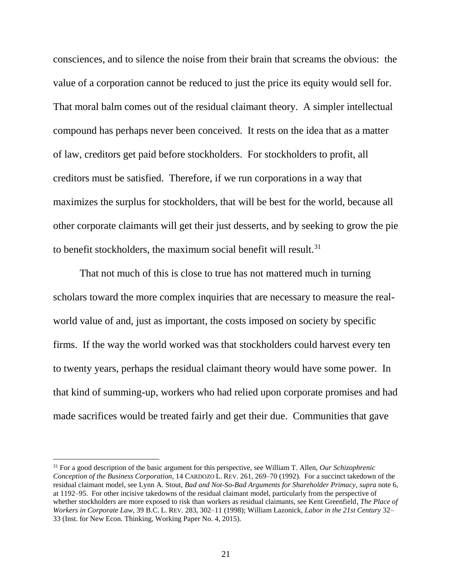consciences, and to silence the noise from their brain that screams the obvious: the value of a corporation cannot be reduced to just the price its equity would sell for. That moral balm comes out of the residual claimant theory. A simpler intellectual compound has perhaps never been conceived. It rests on the idea that as a matter of law, creditors get paid before stockholders. For stockholders to profit, all creditors must be satisfied. Therefore, if we run corporations in a way that maximizes the surplus for stockholders, that will be best for the world, because all other corporate claimants will get their just desserts, and by seeking to grow the pie to benefit stockholders, the maximum social benefit will result.<sup>31</sup>

That not much of this is close to true has not mattered much in turning scholars toward the more complex inquiries that are necessary to measure the realworld value of and, just as important, the costs imposed on society by specific firms. If the way the world worked was that stockholders could harvest every ten to twenty years, perhaps the residual claimant theory would have some power. In that kind of summing-up, workers who had relied upon corporate promises and had made sacrifices would be treated fairly and get their due. Communities that gave

<sup>31</sup> For a good description of the basic argument for this perspective, see William T. Allen, *Our Schizophrenic Conception of the Business Corporation*, 14 CARDOZO L. REV. 261, 269–70 (1992). For a succinct takedown of the residual claimant model, see Lynn A. Stout, *Bad and Not-So-Bad Arguments for Shareholder Primacy*, *supra* note 6, at 1192–95. For other incisive takedowns of the residual claimant model, particularly from the perspective of whether stockholders are more exposed to risk than workers as residual claimants, see Kent Greenfield, *The Place of Workers in Corporate Law*, 39 B.C. L. REV. 283, 302–11 (1998); William Lazonick, *Labor in the 21st Century* 32– 33 (Inst. for New Econ. Thinking, Working Paper No. 4, 2015).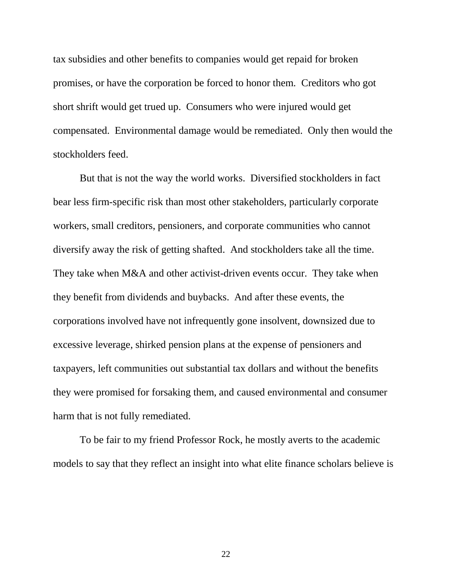tax subsidies and other benefits to companies would get repaid for broken promises, or have the corporation be forced to honor them. Creditors who got short shrift would get trued up. Consumers who were injured would get compensated. Environmental damage would be remediated. Only then would the stockholders feed.

But that is not the way the world works. Diversified stockholders in fact bear less firm-specific risk than most other stakeholders, particularly corporate workers, small creditors, pensioners, and corporate communities who cannot diversify away the risk of getting shafted. And stockholders take all the time. They take when M&A and other activist-driven events occur. They take when they benefit from dividends and buybacks. And after these events, the corporations involved have not infrequently gone insolvent, downsized due to excessive leverage, shirked pension plans at the expense of pensioners and taxpayers, left communities out substantial tax dollars and without the benefits they were promised for forsaking them, and caused environmental and consumer harm that is not fully remediated.

To be fair to my friend Professor Rock, he mostly averts to the academic models to say that they reflect an insight into what elite finance scholars believe is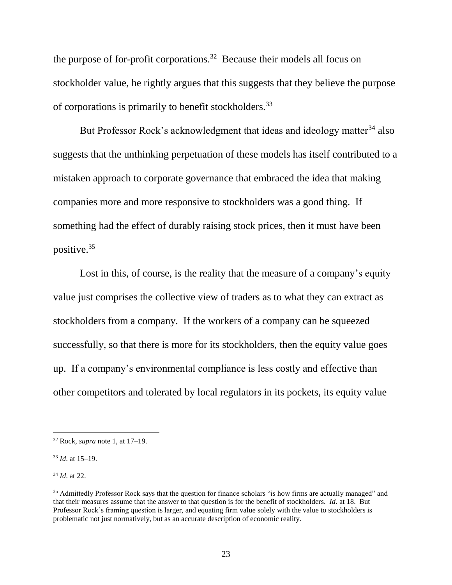the purpose of for-profit corporations.<sup>32</sup> Because their models all focus on stockholder value, he rightly argues that this suggests that they believe the purpose of corporations is primarily to benefit stockholders.<sup>33</sup>

But Professor Rock's acknowledgment that ideas and ideology matter<sup>34</sup> also suggests that the unthinking perpetuation of these models has itself contributed to a mistaken approach to corporate governance that embraced the idea that making companies more and more responsive to stockholders was a good thing. If something had the effect of durably raising stock prices, then it must have been positive.<sup>35</sup>

Lost in this, of course, is the reality that the measure of a company's equity value just comprises the collective view of traders as to what they can extract as stockholders from a company. If the workers of a company can be squeezed successfully, so that there is more for its stockholders, then the equity value goes up. If a company's environmental compliance is less costly and effective than other competitors and tolerated by local regulators in its pockets, its equity value

<sup>34</sup> *Id*. at 22.

<sup>32</sup> Rock, *supra* note 1, at 17–19.

<sup>33</sup> *Id*. at 15–19.

<sup>&</sup>lt;sup>35</sup> Admittedly Professor Rock says that the question for finance scholars "is how firms are actually managed" and that their measures assume that the answer to that question is for the benefit of stockholders. *Id.* at 18. But Professor Rock's framing question is larger, and equating firm value solely with the value to stockholders is problematic not just normatively, but as an accurate description of economic reality.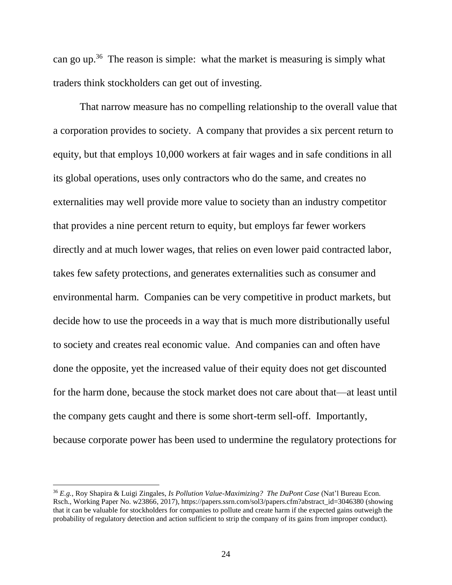can go up.<sup>36</sup> The reason is simple: what the market is measuring is simply what traders think stockholders can get out of investing.

That narrow measure has no compelling relationship to the overall value that a corporation provides to society. A company that provides a six percent return to equity, but that employs 10,000 workers at fair wages and in safe conditions in all its global operations, uses only contractors who do the same, and creates no externalities may well provide more value to society than an industry competitor that provides a nine percent return to equity, but employs far fewer workers directly and at much lower wages, that relies on even lower paid contracted labor, takes few safety protections, and generates externalities such as consumer and environmental harm. Companies can be very competitive in product markets, but decide how to use the proceeds in a way that is much more distributionally useful to society and creates real economic value. And companies can and often have done the opposite, yet the increased value of their equity does not get discounted for the harm done, because the stock market does not care about that—at least until the company gets caught and there is some short-term sell-off. Importantly, because corporate power has been used to undermine the regulatory protections for

<sup>36</sup> *E.g.*, Roy Shapira & Luigi Zingales, *Is Pollution Value-Maximizing? The DuPont Case* (Nat'l Bureau Econ. Rsch., Working Paper No. w23866, 2017), https://papers.ssrn.com/sol3/papers.cfm?abstract\_id=3046380 (showing that it can be valuable for stockholders for companies to pollute and create harm if the expected gains outweigh the probability of regulatory detection and action sufficient to strip the company of its gains from improper conduct).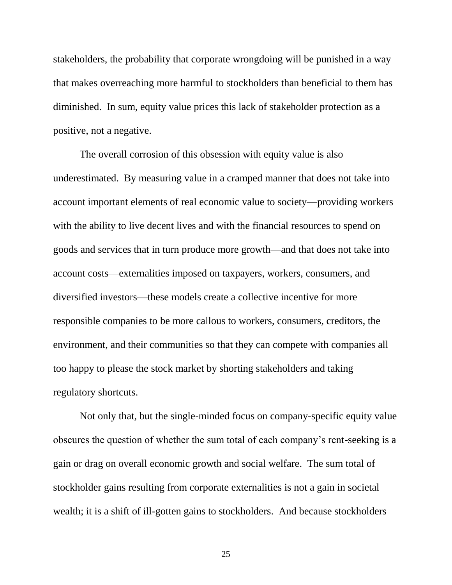stakeholders, the probability that corporate wrongdoing will be punished in a way that makes overreaching more harmful to stockholders than beneficial to them has diminished. In sum, equity value prices this lack of stakeholder protection as a positive, not a negative.

The overall corrosion of this obsession with equity value is also underestimated. By measuring value in a cramped manner that does not take into account important elements of real economic value to society—providing workers with the ability to live decent lives and with the financial resources to spend on goods and services that in turn produce more growth—and that does not take into account costs—externalities imposed on taxpayers, workers, consumers, and diversified investors—these models create a collective incentive for more responsible companies to be more callous to workers, consumers, creditors, the environment, and their communities so that they can compete with companies all too happy to please the stock market by shorting stakeholders and taking regulatory shortcuts.

Not only that, but the single-minded focus on company-specific equity value obscures the question of whether the sum total of each company's rent-seeking is a gain or drag on overall economic growth and social welfare. The sum total of stockholder gains resulting from corporate externalities is not a gain in societal wealth; it is a shift of ill-gotten gains to stockholders. And because stockholders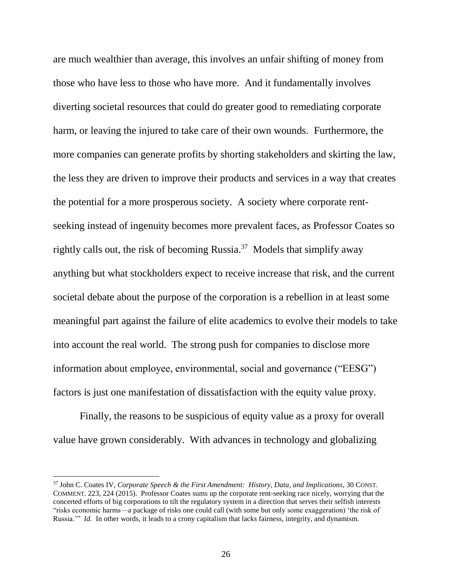are much wealthier than average, this involves an unfair shifting of money from those who have less to those who have more. And it fundamentally involves diverting societal resources that could do greater good to remediating corporate harm, or leaving the injured to take care of their own wounds. Furthermore, the more companies can generate profits by shorting stakeholders and skirting the law, the less they are driven to improve their products and services in a way that creates the potential for a more prosperous society. A society where corporate rentseeking instead of ingenuity becomes more prevalent faces, as Professor Coates so rightly calls out, the risk of becoming Russia. $37$  Models that simplify away anything but what stockholders expect to receive increase that risk, and the current societal debate about the purpose of the corporation is a rebellion in at least some meaningful part against the failure of elite academics to evolve their models to take into account the real world. The strong push for companies to disclose more information about employee, environmental, social and governance ("EESG") factors is just one manifestation of dissatisfaction with the equity value proxy.

Finally, the reasons to be suspicious of equity value as a proxy for overall value have grown considerably. With advances in technology and globalizing

<sup>37</sup> John C. Coates IV, *Corporate Speech & the First Amendment: History, Data, and Implications*, 30 CONST. COMMENT. 223, 224 (2015). Professor Coates sums up the corporate rent-seeking race nicely, worrying that the concerted efforts of big corporations to tilt the regulatory system in a direction that serves their selfish interests "risks economic harms—a package of risks one could call (with some but only some exaggeration) 'the risk of Russia.'" *Id.* In other words, it leads to a crony capitalism that lacks fairness, integrity, and dynamism.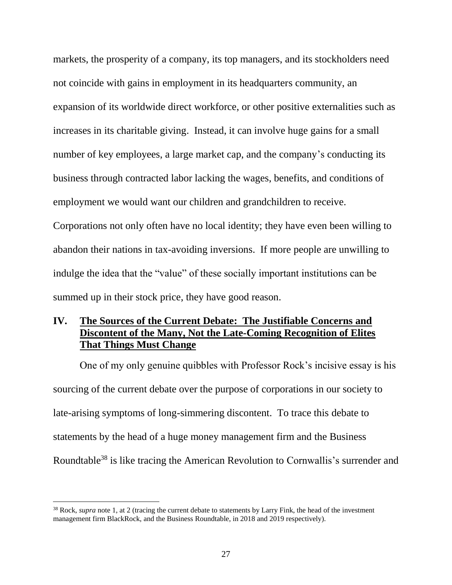markets, the prosperity of a company, its top managers, and its stockholders need not coincide with gains in employment in its headquarters community, an expansion of its worldwide direct workforce, or other positive externalities such as increases in its charitable giving. Instead, it can involve huge gains for a small number of key employees, a large market cap, and the company's conducting its business through contracted labor lacking the wages, benefits, and conditions of employment we would want our children and grandchildren to receive. Corporations not only often have no local identity; they have even been willing to abandon their nations in tax-avoiding inversions. If more people are unwilling to indulge the idea that the "value" of these socially important institutions can be summed up in their stock price, they have good reason.

## **IV. The Sources of the Current Debate: The Justifiable Concerns and Discontent of the Many, Not the Late-Coming Recognition of Elites That Things Must Change**

One of my only genuine quibbles with Professor Rock's incisive essay is his sourcing of the current debate over the purpose of corporations in our society to late-arising symptoms of long-simmering discontent. To trace this debate to statements by the head of a huge money management firm and the Business Roundtable<sup>38</sup> is like tracing the American Revolution to Cornwallis's surrender and

<sup>38</sup> Rock, *supra* note 1, at 2 (tracing the current debate to statements by Larry Fink, the head of the investment management firm BlackRock, and the Business Roundtable, in 2018 and 2019 respectively).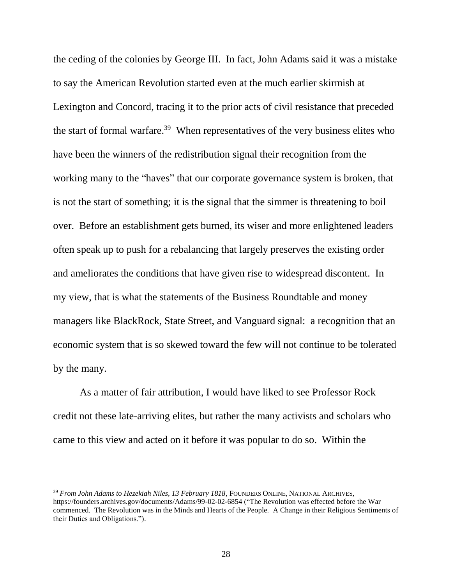the ceding of the colonies by George III. In fact, John Adams said it was a mistake to say the American Revolution started even at the much earlier skirmish at Lexington and Concord, tracing it to the prior acts of civil resistance that preceded the start of formal warfare.<sup>39</sup> When representatives of the very business elites who have been the winners of the redistribution signal their recognition from the working many to the "haves" that our corporate governance system is broken, that is not the start of something; it is the signal that the simmer is threatening to boil over. Before an establishment gets burned, its wiser and more enlightened leaders often speak up to push for a rebalancing that largely preserves the existing order and ameliorates the conditions that have given rise to widespread discontent. In my view, that is what the statements of the Business Roundtable and money managers like BlackRock, State Street, and Vanguard signal: a recognition that an economic system that is so skewed toward the few will not continue to be tolerated by the many.

As a matter of fair attribution, I would have liked to see Professor Rock credit not these late-arriving elites, but rather the many activists and scholars who came to this view and acted on it before it was popular to do so. Within the

<sup>39</sup> *From John Adams to Hezekiah Niles, 13 February 1818*, FOUNDERS ONLINE, NATIONAL ARCHIVES, https://founders.archives.gov/documents/Adams/99-02-02-6854 ("The Revolution was effected before the War commenced. The Revolution was in the Minds and Hearts of the People. A Change in their Religious Sentiments of their Duties and Obligations.").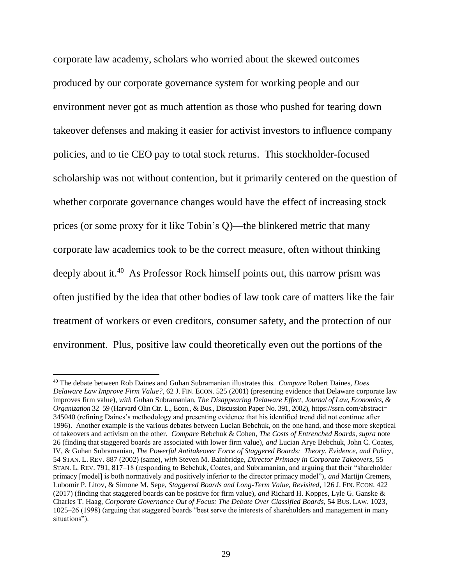corporate law academy, scholars who worried about the skewed outcomes produced by our corporate governance system for working people and our environment never got as much attention as those who pushed for tearing down takeover defenses and making it easier for activist investors to influence company policies, and to tie CEO pay to total stock returns. This stockholder-focused scholarship was not without contention, but it primarily centered on the question of whether corporate governance changes would have the effect of increasing stock prices (or some proxy for it like Tobin's Q)—the blinkered metric that many corporate law academics took to be the correct measure, often without thinking deeply about it.<sup>40</sup> As Professor Rock himself points out, this narrow prism was often justified by the idea that other bodies of law took care of matters like the fair treatment of workers or even creditors, consumer safety, and the protection of our environment. Plus, positive law could theoretically even out the portions of the

<sup>40</sup> The debate between Rob Daines and Guhan Subramanian illustrates this. *Compare* Robert Daines, *Does Delaware Law Improve Firm Value?*, 62 J. FIN. ECON. 525 (2001) (presenting evidence that Delaware corporate law improves firm value), *with* Guhan Subramanian, *The Disappearing Delaware Effect, Journal of Law, Economics, & Organization* 32–59 (Harvard Olin Ctr. L., Econ., & Bus., Discussion Paper No. 391, 2002), https://ssrn.com/abstract= 345040 (refining Daines's methodology and presenting evidence that his identified trend did not continue after 1996). Another example is the various debates between Lucian Bebchuk, on the one hand, and those more skeptical of takeovers and activism on the other. *Compare* Bebchuk & Cohen, *The Costs of Entrenched Boards*, *supra* note 26 (finding that staggered boards are associated with lower firm value), *and* Lucian Arye Bebchuk, John C. Coates, IV, & Guhan Subramanian, *The Powerful Antitakeover Force of Staggered Boards: Theory, Evidence, and Policy*, 54 STAN. L. REV. 887 (2002) (same), *with* Steven M. Bainbridge, *Director Primacy in Corporate Takeovers*, 55 STAN. L. REV. 791, 817–18 (responding to Bebchuk, Coates, and Subramanian, and arguing that their "shareholder primacy [model] is both normatively and positively inferior to the director primacy model"), *and* Martijn Cremers, Lubomir P. Litov, & Simone M. Sepe, *Staggered Boards and Long-Term Value, Revisited*, 126 J. FIN. ECON. 422 (2017) (finding that staggered boards can be positive for firm value), *and* Richard H. Koppes, Lyle G. Ganske & Charles T. Haag, *Corporate Governance Out of Focus: The Debate Over Classified Boards*, 54 BUS. LAW. 1023, 1025–26 (1998) (arguing that staggered boards "best serve the interests of shareholders and management in many situations").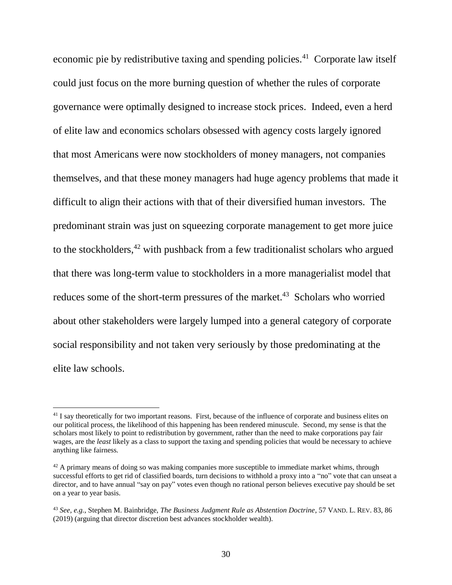economic pie by redistributive taxing and spending policies.<sup>41</sup> Corporate law itself could just focus on the more burning question of whether the rules of corporate governance were optimally designed to increase stock prices. Indeed, even a herd of elite law and economics scholars obsessed with agency costs largely ignored that most Americans were now stockholders of money managers, not companies themselves, and that these money managers had huge agency problems that made it difficult to align their actions with that of their diversified human investors. The predominant strain was just on squeezing corporate management to get more juice to the stockholders,<sup>42</sup> with pushback from a few traditionalist scholars who argued that there was long-term value to stockholders in a more managerialist model that reduces some of the short-term pressures of the market.<sup>43</sup> Scholars who worried about other stakeholders were largely lumped into a general category of corporate social responsibility and not taken very seriously by those predominating at the elite law schools.

<sup>&</sup>lt;sup>41</sup> I say theoretically for two important reasons. First, because of the influence of corporate and business elites on our political process, the likelihood of this happening has been rendered minuscule. Second, my sense is that the scholars most likely to point to redistribution by government, rather than the need to make corporations pay fair wages, are the *least* likely as a class to support the taxing and spending policies that would be necessary to achieve anything like fairness.

 $42$  A primary means of doing so was making companies more susceptible to immediate market whims, through successful efforts to get rid of classified boards, turn decisions to withhold a proxy into a "no" vote that can unseat a director, and to have annual "say on pay" votes even though no rational person believes executive pay should be set on a year to year basis.

<sup>43</sup> *See, e.g.*, Stephen M. Bainbridge, *The Business Judgment Rule as Abstention Doctrine*, 57 VAND. L. REV. 83, 86 (2019) (arguing that director discretion best advances stockholder wealth).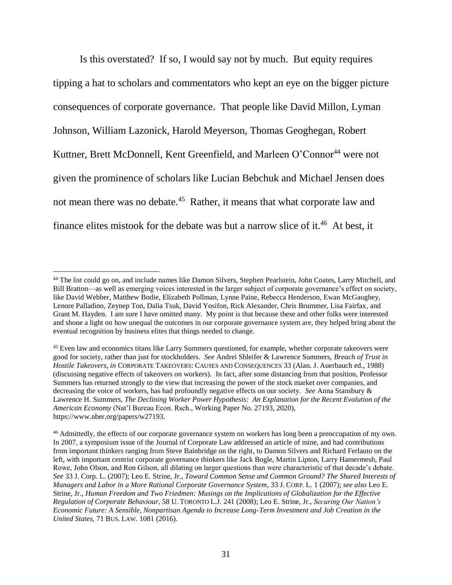Is this overstated? If so, I would say not by much. But equity requires tipping a hat to scholars and commentators who kept an eye on the bigger picture consequences of corporate governance. That people like David Millon, Lyman Johnson, William Lazonick, Harold Meyerson, Thomas Geoghegan, Robert Kuttner, Brett McDonnell, Kent Greenfield, and Marleen O'Connor<sup>44</sup> were not given the prominence of scholars like Lucian Bebchuk and Michael Jensen does not mean there was no debate.<sup>45</sup> Rather, it means that what corporate law and finance elites mistook for the debate was but a narrow slice of it.<sup>46</sup> At best, it

<sup>&</sup>lt;sup>44</sup> The list could go on, and include names like Damon Silvers, Stephen Pearlstein, John Coates, Larry Mitchell, and Bill Bratton—as well as emerging voices interested in the larger subject of corporate governance's effect on society, like David Webber, Matthew Bodie, Elizabeth Pollman, Lynne Paine, Rebecca Henderson, Ewan McGaughey, Lenore Palladino, Zeynep Ton, Dalia Tsuk, David Yosifon, Rick Alexander, Chris Brummer, Lisa Fairfax, and Grant M. Hayden. I am sure I have omitted many. My point is that because these and other folks were interested and shone a light on how unequal the outcomes in our corporate governance system are, they helped bring about the eventual recognition by business elites that things needed to change.

<sup>&</sup>lt;sup>45</sup> Even law and economics titans like Larry Summers questioned, for example, whether corporate takeovers were good for society, rather than just for stockholders. *See* Andrei Shleifer & Lawrence Summers, *Breach of Trust in Hostile Takeovers*, *in* CORPORATE TAKEOVERS: CAUSES AND CONSEQUENCES 33 (Alan. J. Auerbauch ed., 1988) (discussing negative effects of takeovers on workers). In fact, after some distancing from that position, Professor Summers has returned strongly to the view that increasing the power of the stock market over companies, and decreasing the voice of workers, has had profoundly negative effects on our society. *See* Anna Stansbury & Lawrence H. Summers, *The Declining Worker Power Hypothesis: An Explanation for the Recent Evolution of the American Economy* (Nat'l Bureau Econ. Rsch., Working Paper No. 27193, 2020), https://www.nber.org/papers/w27193.

<sup>&</sup>lt;sup>46</sup> Admittedly, the effects of our corporate governance system on workers has long been a preoccupation of my own. In 2007, a symposium issue of the Journal of Corporate Law addressed an article of mine, and had contributions from important thinkers ranging from Steve Bainbridge on the right, to Damon Silvers and Richard Ferlauto on the left, with important centrist corporate governance thinkers like Jack Bogle, Martin Lipton, Larry Hamermesh, Paul Rowe, John Olson, and Ron Gilson, all dilating on larger questions than were characteristic of that decade's debate. *See* 33 J. Corp. L. (2007); Leo E. Strine, Jr., *Toward Common Sense and Common Ground? The Shared Interests of Managers and Labor in a More Rational Corporate Governance System*, 33 J. CORP. L. 1 (2007); *see also* Leo E. Strine, Jr., *Human Freedom and Two Friedmen: Musings on the Implications of Globalization for the Effective Regulation of Corporate Behaviour*, 58 U. TORONTO L.J. 241 (2008); Leo E. Strine, Jr., *Securing Our Nation's Economic Future: A Sensible, Nonpartisan Agenda to Increase Long-Term Investment and Job Creation in the United States*, 71 BUS. LAW. 1081 (2016).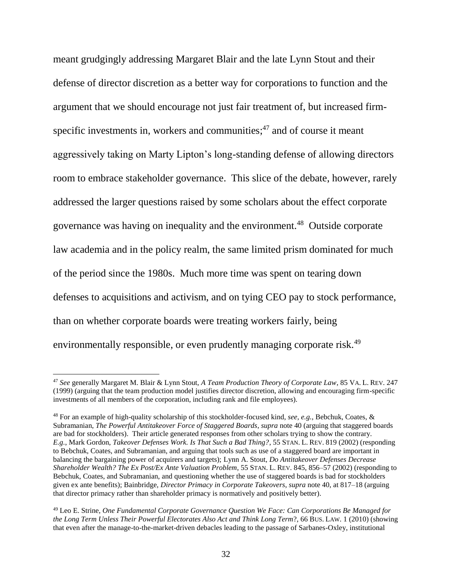meant grudgingly addressing Margaret Blair and the late Lynn Stout and their defense of director discretion as a better way for corporations to function and the argument that we should encourage not just fair treatment of, but increased firmspecific investments in, workers and communities;<sup>47</sup> and of course it meant aggressively taking on Marty Lipton's long-standing defense of allowing directors room to embrace stakeholder governance. This slice of the debate, however, rarely addressed the larger questions raised by some scholars about the effect corporate governance was having on inequality and the environment.<sup>48</sup> Outside corporate law academia and in the policy realm, the same limited prism dominated for much of the period since the 1980s. Much more time was spent on tearing down defenses to acquisitions and activism, and on tying CEO pay to stock performance, than on whether corporate boards were treating workers fairly, being environmentally responsible, or even prudently managing corporate risk.<sup>49</sup>

<sup>47</sup> *See* generally Margaret M. Blair & Lynn Stout, *A Team Production Theory of Corporate Law*, 85 VA. L. REV. 247 (1999) (arguing that the team production model justifies director discretion, allowing and encouraging firm-specific investments of all members of the corporation, including rank and file employees).

<sup>48</sup> For an example of high-quality scholarship of this stockholder-focused kind, *see, e.g.*, Bebchuk, Coates, & Subramanian, *The Powerful Antitakeover Force of Staggered Boards*, *supra* note 40 (arguing that staggered boards are bad for stockholders). Their article generated responses from other scholars trying to show the contrary. *E.g.*, Mark Gordon, *Takeover Defenses Work. Is That Such a Bad Thing?*, 55 STAN. L. REV. 819 (2002) (responding to Bebchuk, Coates, and Subramanian, and arguing that tools such as use of a staggered board are important in balancing the bargaining power of acquirers and targets); Lynn A. Stout, *Do Antitakeover Defenses Decrease Shareholder Wealth? The Ex Post/Ex Ante Valuation Problem*, 55 STAN. L. REV. 845, 856–57 (2002) (responding to Bebchuk, Coates, and Subramanian, and questioning whether the use of staggered boards is bad for stockholders given ex ante benefits); Bainbridge, *Director Primacy in Corporate Takeovers*, *supra* note 40, at 817–18 (arguing that director primacy rather than shareholder primacy is normatively and positively better).

<sup>49</sup> Leo E. Strine, *One Fundamental Corporate Governance Question We Face: Can Corporations Be Managed for the Long Term Unless Their Powerful Electorates Also Act and Think Long Term*?, 66 BUS. LAW. 1 (2010) (showing that even after the manage-to-the-market-driven debacles leading to the passage of Sarbanes-Oxley, institutional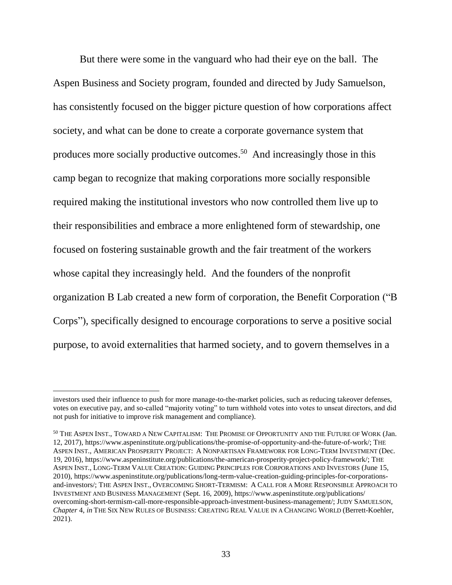But there were some in the vanguard who had their eye on the ball. The Aspen Business and Society program, founded and directed by Judy Samuelson, has consistently focused on the bigger picture question of how corporations affect society, and what can be done to create a corporate governance system that produces more socially productive outcomes.<sup>50</sup> And increasingly those in this camp began to recognize that making corporations more socially responsible required making the institutional investors who now controlled them live up to their responsibilities and embrace a more enlightened form of stewardship, one focused on fostering sustainable growth and the fair treatment of the workers whose capital they increasingly held. And the founders of the nonprofit organization B Lab created a new form of corporation, the Benefit Corporation ("B Corps"), specifically designed to encourage corporations to serve a positive social purpose, to avoid externalities that harmed society, and to govern themselves in a

investors used their influence to push for more manage-to-the-market policies, such as reducing takeover defenses, votes on executive pay, and so-called "majority voting" to turn withhold votes into votes to unseat directors, and did not push for initiative to improve risk management and compliance).

<sup>50</sup> THE ASPEN INST., TOWARD A NEW CAPITALISM: THE PROMISE OF OPPORTUNITY AND THE FUTURE OF WORK (Jan. 12, 2017), https://www.aspeninstitute.org/publications/the-promise-of-opportunity-and-the-future-of-work/; THE ASPEN INST., AMERICAN PROSPERITY PROJECT: A NONPARTISAN FRAMEWORK FOR LONG-TERM INVESTMENT (Dec. 19, 2016), https://www.aspeninstitute.org/publications/the-american-prosperity-project-policy-framework/; THE ASPEN INST., LONG-TERM VALUE CREATION: GUIDING PRINCIPLES FOR CORPORATIONS AND INVESTORS (June 15, 2010), https://www.aspeninstitute.org/publications/long-term-value-creation-guiding-principles-for-corporationsand-investors/; THE ASPEN INST., OVERCOMING SHORT-TERMISM: A CALL FOR A MORE RESPONSIBLE APPROACH TO INVESTMENT AND BUSINESS MANAGEMENT (Sept. 16, 2009), https://www.aspeninstitute.org/publications/ overcoming-short-termism-call-more-responsible-approach-investment-business-management/; JUDY SAMUELSON, *Chapter* 4, *in* THE SIX NEW RULES OF BUSINESS: CREATING REAL VALUE IN A CHANGING WORLD (Berrett-Koehler, 2021).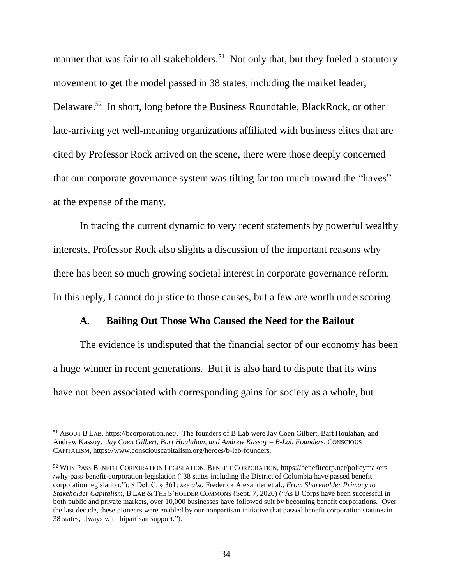manner that was fair to all stakeholders.<sup>51</sup> Not only that, but they fueled a statutory movement to get the model passed in 38 states, including the market leader, Delaware.<sup>52</sup> In short, long before the Business Roundtable, BlackRock, or other late-arriving yet well-meaning organizations affiliated with business elites that are cited by Professor Rock arrived on the scene, there were those deeply concerned that our corporate governance system was tilting far too much toward the "haves" at the expense of the many.

In tracing the current dynamic to very recent statements by powerful wealthy interests, Professor Rock also slights a discussion of the important reasons why there has been so much growing societal interest in corporate governance reform. In this reply, I cannot do justice to those causes, but a few are worth underscoring.

#### **A. Bailing Out Those Who Caused the Need for the Bailout**

The evidence is undisputed that the financial sector of our economy has been a huge winner in recent generations. But it is also hard to dispute that its wins have not been associated with corresponding gains for society as a whole, but

<sup>51</sup> ABOUT B LAB, https://bcorporation.net/. The founders of B Lab were Jay Coen Gilbert, Bart Houlahan, and Andrew Kassoy. *Jay Coen Gilbert, Bart Houlahan, and Andrew Kassoy – B-Lab Founders*, CONSCIOUS CAPITALISM, https://www.consciouscapitalism.org/heroes/b-lab-founders.

<sup>52</sup> WHY PASS BENEFIT CORPORATION LEGISLATION, BENEFIT CORPORATION, https://benefitcorp.net/policymakers /why-pass-benefit-corporation-legislation ("38 states including the District of Columbia have passed benefit corporation legislation."); 8 Del. C. § 361; *see also* Frederick Alexander et al., *From Shareholder Primacy to Stakeholder Capitalism*, B LAB & THE S'HOLDER COMMONS (Sept. 7, 2020) ("As B Corps have been successful in both public and private markets, over 10,000 businesses have followed suit by becoming benefit corporations. Over the last decade, these pioneers were enabled by our nonpartisan initiative that passed benefit corporation statutes in 38 states, always with bipartisan support.").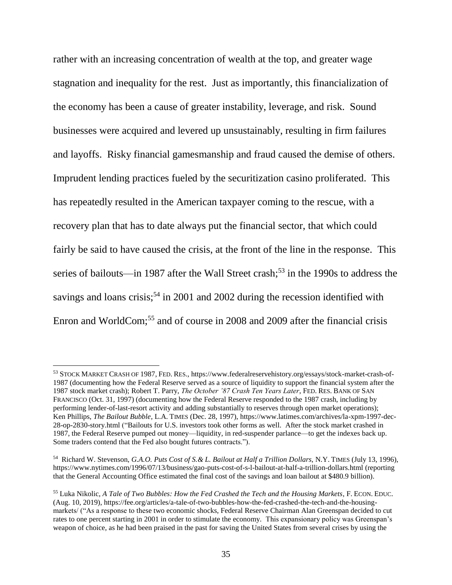rather with an increasing concentration of wealth at the top, and greater wage stagnation and inequality for the rest. Just as importantly, this financialization of the economy has been a cause of greater instability, leverage, and risk. Sound businesses were acquired and levered up unsustainably, resulting in firm failures and layoffs. Risky financial gamesmanship and fraud caused the demise of others. Imprudent lending practices fueled by the securitization casino proliferated. This has repeatedly resulted in the American taxpayer coming to the rescue, with a recovery plan that has to date always put the financial sector, that which could fairly be said to have caused the crisis, at the front of the line in the response. This series of bailouts—in 1987 after the Wall Street crash; <sup>53</sup> in the 1990s to address the savings and loans crisis;<sup>54</sup> in 2001 and 2002 during the recession identified with Enron and WorldCom; <sup>55</sup> and of course in 2008 and 2009 after the financial crisis

<sup>53</sup> STOCK MARKET CRASH OF 1987, FED. RES., https://www.federalreservehistory.org/essays/stock-market-crash-of-1987 (documenting how the Federal Reserve served as a source of liquidity to support the financial system after the 1987 stock market crash); Robert T. Parry, *The October '87 Crash Ten Years Later*, FED. RES. BANK OF SAN FRANCISCO (Oct. 31, 1997) (documenting how the Federal Reserve responded to the 1987 crash, including by performing lender-of-last-resort activity and adding substantially to reserves through open market operations); Ken Phillips, *The Bailout Bubble*, L.A. TIMES (Dec. 28, 1997), https://www.latimes.com/archives/la-xpm-1997-dec-28-op-2830-story.html ("Bailouts for U.S. investors took other forms as well. After the stock market crashed in 1987, the Federal Reserve pumped out money—liquidity, in red-suspender parlance—to get the indexes back up. Some traders contend that the Fed also bought futures contracts.").

<sup>54</sup> Richard W. Stevenson, *G.A.O. Puts Cost of S.& L. Bailout at Half a Trillion Dollars*, N.Y. TIMES (July 13, 1996), https://www.nytimes.com/1996/07/13/business/gao-puts-cost-of-s-l-bailout-at-half-a-trillion-dollars.html (reporting that the General Accounting Office estimated the final cost of the savings and loan bailout at \$480.9 billion).

<sup>55</sup> Luka Nikolic, *A Tale of Two Bubbles: How the Fed Crashed the Tech and the Housing Markets*, F. ECON. EDUC. (Aug. 10, 2019), https://fee.org/articles/a-tale-of-two-bubbles-how-the-fed-crashed-the-tech-and-the-housingmarkets/ ("As a response to these two economic shocks, Federal Reserve Chairman Alan Greenspan decided to cut rates to one percent starting in 2001 in order to stimulate the economy. This expansionary policy was Greenspan's weapon of choice, as he had been praised in the past for saving the United States from several crises by using the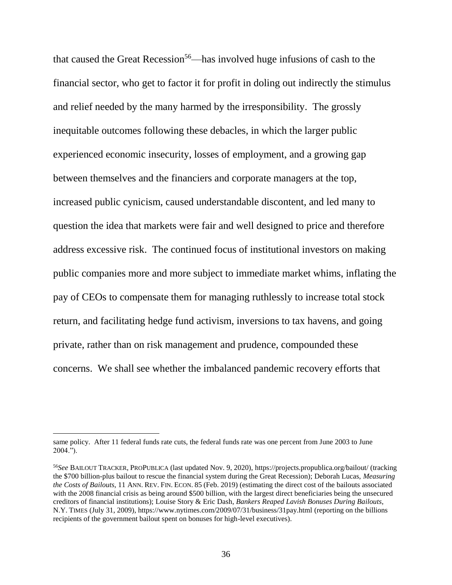that caused the Great Recession<sup>56</sup>—has involved huge infusions of cash to the financial sector, who get to factor it for profit in doling out indirectly the stimulus and relief needed by the many harmed by the irresponsibility. The grossly inequitable outcomes following these debacles, in which the larger public experienced economic insecurity, losses of employment, and a growing gap between themselves and the financiers and corporate managers at the top, increased public cynicism, caused understandable discontent, and led many to question the idea that markets were fair and well designed to price and therefore address excessive risk. The continued focus of institutional investors on making public companies more and more subject to immediate market whims, inflating the pay of CEOs to compensate them for managing ruthlessly to increase total stock return, and facilitating hedge fund activism, inversions to tax havens, and going private, rather than on risk management and prudence, compounded these concerns. We shall see whether the imbalanced pandemic recovery efforts that

same policy. After 11 federal funds rate cuts, the federal funds rate was one percent from June 2003 to June 2004.").

<sup>56</sup>*See* BAILOUT TRACKER, PROPUBLICA (last updated Nov. 9, 2020), https://projects.propublica.org/bailout/ (tracking the \$700 billion-plus bailout to rescue the financial system during the Great Recession); Deborah Lucas, *Measuring the Costs of Bailouts*, 11 ANN. REV. FIN. ECON. 85 (Feb. 2019) (estimating the direct cost of the bailouts associated with the 2008 financial crisis as being around \$500 billion, with the largest direct beneficiaries being the unsecured creditors of financial institutions); Louise Story & Eric Dash, *Bankers Reaped Lavish Bonuses During Bailouts*, N.Y. TIMES (July 31, 2009), https://www.nytimes.com/2009/07/31/business/31pay.html (reporting on the billions recipients of the government bailout spent on bonuses for high-level executives).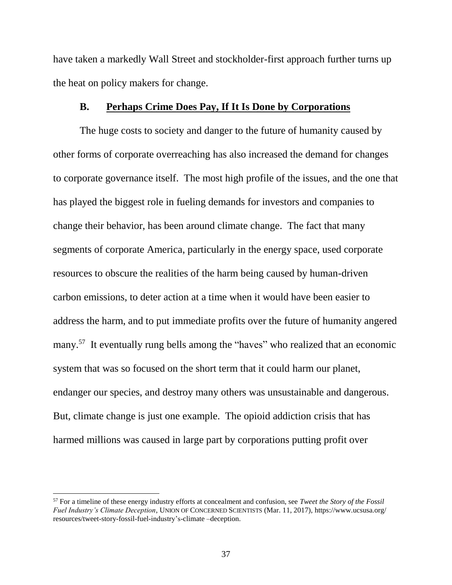have taken a markedly Wall Street and stockholder-first approach further turns up the heat on policy makers for change.

#### **B. Perhaps Crime Does Pay, If It Is Done by Corporations**

The huge costs to society and danger to the future of humanity caused by other forms of corporate overreaching has also increased the demand for changes to corporate governance itself. The most high profile of the issues, and the one that has played the biggest role in fueling demands for investors and companies to change their behavior, has been around climate change. The fact that many segments of corporate America, particularly in the energy space, used corporate resources to obscure the realities of the harm being caused by human-driven carbon emissions, to deter action at a time when it would have been easier to address the harm, and to put immediate profits over the future of humanity angered many.<sup>57</sup> It eventually rung bells among the "haves" who realized that an economic system that was so focused on the short term that it could harm our planet, endanger our species, and destroy many others was unsustainable and dangerous. But, climate change is just one example. The opioid addiction crisis that has harmed millions was caused in large part by corporations putting profit over

<sup>57</sup> For a timeline of these energy industry efforts at concealment and confusion, see *Tweet the Story of the Fossil Fuel Industry's Climate Deception*, UNION OF CONCERNED SCIENTISTS (Mar. 11, 2017), https://www.ucsusa.org/ resources/tweet-story-fossil-fuel-industry's-climate –deception.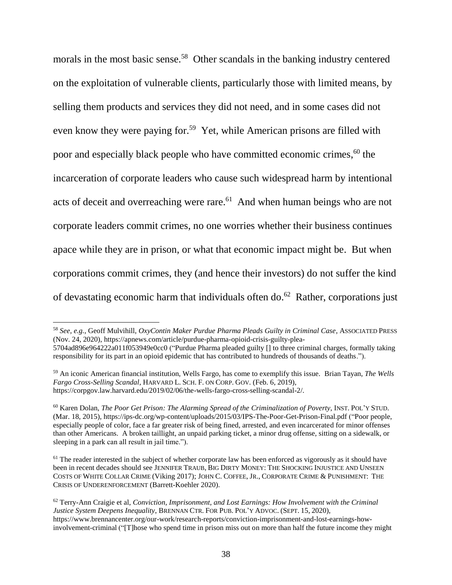morals in the most basic sense.<sup>58</sup> Other scandals in the banking industry centered on the exploitation of vulnerable clients, particularly those with limited means, by selling them products and services they did not need, and in some cases did not even know they were paying for.<sup>59</sup> Yet, while American prisons are filled with poor and especially black people who have committed economic crimes, <sup>60</sup> the incarceration of corporate leaders who cause such widespread harm by intentional acts of deceit and overreaching were rare.<sup>61</sup> And when human beings who are not corporate leaders commit crimes, no one worries whether their business continues apace while they are in prison, or what that economic impact might be. But when corporations commit crimes, they (and hence their investors) do not suffer the kind of devastating economic harm that individuals often do. 62 Rather, corporations just

<sup>58</sup> *See, e.g.*, Geoff Mulvihill, *OxyContin Maker Purdue Pharma Pleads Guilty in Criminal Case*, ASSOCIATED PRESS (Nov. 24, 2020), https://apnews.com/article/purdue-pharma-opioid-crisis-guilty-plea-

<sup>5704</sup>ad896e964222a011f053949e0cc0 ("Purdue Pharma pleaded guilty [] to three criminal charges, formally taking responsibility for its part in an opioid epidemic that has contributed to hundreds of thousands of deaths.").

<sup>59</sup> An iconic American financial institution, Wells Fargo, has come to exemplify this issue. Brian Tayan, *The Wells Fargo Cross-Selling Scandal*, HARVARD L. SCH. F. ON CORP. GOV. (Feb. 6, 2019), https://corpgov.law.harvard.edu/2019/02/06/the-wells-fargo-cross-selling-scandal-2/.

<sup>60</sup> Karen Dolan, *The Poor Get Prison: The Alarming Spread of the Criminalization of Poverty*, INST. POL'Y STUD. (Mar. 18, 2015), https://ips-dc.org/wp-content/uploads/2015/03/IPS-The-Poor-Get-Prison-Final.pdf ("Poor people, especially people of color, face a far greater risk of being fined, arrested, and even incarcerated for minor offenses than other Americans. A broken taillight, an unpaid parking ticket, a minor drug offense, sitting on a sidewalk, or sleeping in a park can all result in jail time.").

<sup>&</sup>lt;sup>61</sup> The reader interested in the subject of whether corporate law has been enforced as vigorously as it should have been in recent decades should see JENNIFER TRAUB, BIG DIRTY MONEY: THE SHOCKING INJUSTICE AND UNSEEN COSTS OF WHITE COLLAR CRIME (Viking 2017); JOHN C. COFFEE, JR., CORPORATE CRIME & PUNISHMENT: THE CRISIS OF UNDERENFORCEMENT (Barrett-Koehler 2020).

<sup>62</sup> Terry-Ann Craigie et al, *Conviction, Imprisonment, and Lost Earnings: How Involvement with the Criminal Justice System Deepens Inequality*, BRENNAN CTR. FOR PUB. POL'Y ADVOC. (SEPT. 15, 2020), https://www.brennancenter.org/our-work/research-reports/conviction-imprisonment-and-lost-earnings-howinvolvement-criminal ("[T]hose who spend time in prison miss out on more than half the future income they might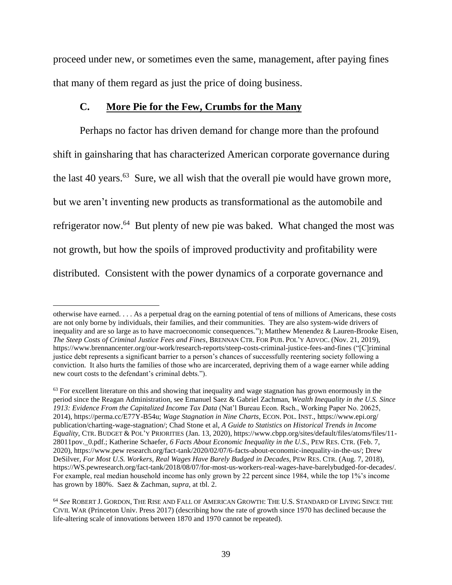proceed under new, or sometimes even the same, management, after paying fines that many of them regard as just the price of doing business.

#### **C. More Pie for the Few, Crumbs for the Many**

 $\overline{a}$ 

Perhaps no factor has driven demand for change more than the profound shift in gainsharing that has characterized American corporate governance during the last 40 years.<sup>63</sup> Sure, we all wish that the overall pie would have grown more, but we aren't inventing new products as transformational as the automobile and refrigerator now.<sup>64</sup> But plenty of new pie was baked. What changed the most was not growth, but how the spoils of improved productivity and profitability were distributed. Consistent with the power dynamics of a corporate governance and

otherwise have earned. . . . As a perpetual drag on the earning potential of tens of millions of Americans, these costs are not only borne by individuals, their families, and their communities. They are also system-wide drivers of inequality and are so large as to have macroeconomic consequences."); Matthew Menendez & Lauren-Brooke Eisen, *The Steep Costs of Criminal Justice Fees and Fines*, BRENNAN CTR. FOR PUB. POL'Y ADVOC. (Nov. 21, 2019), https://www.brennancenter.org/our-work/research-reports/steep-costs-criminal-justice-fees-and-fines ("[C]riminal justice debt represents a significant barrier to a person's chances of successfully reentering society following a conviction. It also hurts the families of those who are incarcerated, depriving them of a wage earner while adding new court costs to the defendant's criminal debts.").

 $63$  For excellent literature on this and showing that inequality and wage stagnation has grown enormously in the period since the Reagan Administration, see Emanuel Saez & Gabriel Zachman, *Wealth Inequality in the U.S. Since 1913: Evidence From the Capitalized Income Tax Data* (Nat'l Bureau Econ. Rsch., Working Paper No. 20625, 2014), https://perma.cc/E77Y-B54u; *Wage Stagnation in Nine Charts*, ECON. POL. INST., https://www.epi.org/ publication/charting-wage-stagnation/; Chad Stone et al, *A Guide to Statistics on Historical Trends in Income Equality*, CTR. BUDGET & POL'Y PRIORITIES (Jan. 13, 2020), https://www.cbpp.org/sites/default/files/atoms/files/11- 28011pov.\_0.pdf.; Katherine Schaefer, *6 Facts About Economic Inequality in the U.S*., PEW RES. CTR. (Feb. 7, 2020), https://www.pew research.org/fact-tank/2020/02/07/6-facts-about-economic-inequality-in-the-us/; Drew DeSilver, *For Most U.S. Workers, Real Wages Have Barely Budged in Decades*, PEW RES. CTR. (Aug. 7, 2018), https://WS.pewresearch.org/fact-tank/2018/08/07/for-most-us-workers-real-wages-have-barelybudged-for-decades/. For example, real median household income has only grown by 22 percent since 1984, while the top 1%'s income has grown by 180%. Saez & Zachman, *supra*, at tbl. 2.

<sup>64</sup> *See* ROBERT J. GORDON, THE RISE AND FALL OF AMERICAN GROWTH: THE U.S. STANDARD OF LIVING SINCE THE CIVIL WAR (Princeton Univ. Press 2017) (describing how the rate of growth since 1970 has declined because the life-altering scale of innovations between 1870 and 1970 cannot be repeated).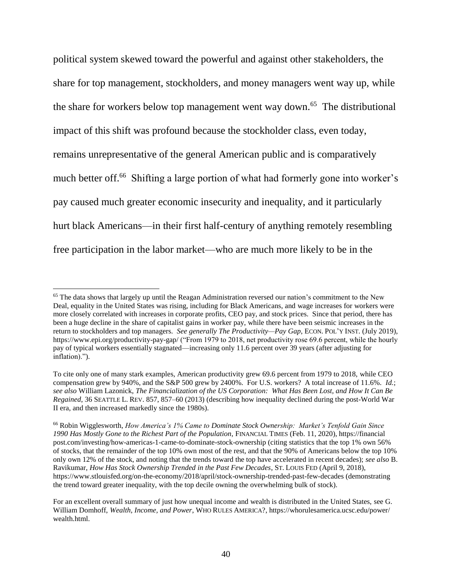political system skewed toward the powerful and against other stakeholders, the share for top management, stockholders, and money managers went way up, while the share for workers below top management went way down.<sup>65</sup> The distributional impact of this shift was profound because the stockholder class, even today, remains unrepresentative of the general American public and is comparatively much better off.<sup>66</sup> Shifting a large portion of what had formerly gone into worker's pay caused much greater economic insecurity and inequality, and it particularly hurt black Americans—in their first half-century of anything remotely resembling free participation in the labor market—who are much more likely to be in the

<sup>&</sup>lt;sup>65</sup> The data shows that largely up until the Reagan Administration reversed our nation's commitment to the New Deal, equality in the United States was rising, including for Black Americans, and wage increases for workers were more closely correlated with increases in corporate profits, CEO pay, and stock prices. Since that period, there has been a huge decline in the share of capitalist gains in worker pay, while there have been seismic increases in the return to stockholders and top managers. *See generally The Productivity—Pay Gap*, ECON. POL'Y INST. (July 2019), https://www.epi.org/productivity-pay-gap/ ("From 1979 to 2018, net productivity rose 69.6 percent, while the hourly pay of typical workers essentially stagnated—increasing only 11.6 percent over 39 years (after adjusting for inflation).").

To cite only one of many stark examples, American productivity grew 69.6 percent from 1979 to 2018, while CEO compensation grew by 940%, and the S&P 500 grew by 2400%. For U.S. workers? A total increase of 11.6%. *Id.*; *see also* William Lazonick, *The Financialization of the US Corporation: What Has Been Lost, and How It Can Be Regained*, 36 SEATTLE L. REV. 857, 857–60 (2013) (describing how inequality declined during the post-World War II era, and then increased markedly since the 1980s).

<sup>66</sup> Robin Wigglesworth, *How America's 1% Came to Dominate Stock Ownership: Market's Tenfold Gain Since 1990 Has Mostly Gone to the Richest Part of the Population*, FINANCIAL TIMES (Feb. 11, 2020), https://financial post.com/investing/how-americas-1-came-to-dominate-stock-ownership (citing statistics that the top 1% own 56% of stocks, that the remainder of the top 10% own most of the rest, and that the 90% of Americans below the top 10% only own 12% of the stock, and noting that the trends toward the top have accelerated in recent decades); *see also* B. Ravikumar, *How Has Stock Ownership Trended in the Past Few Decades*, ST. LOUIS FED (April 9, 2018), https://www.stlouisfed.org/on-the-economy/2018/april/stock-ownership-trended-past-few-decades (demonstrating the trend toward greater inequality, with the top decile owning the overwhelming bulk of stock).

For an excellent overall summary of just how unequal income and wealth is distributed in the United States, see G. William Domhoff, *Wealth, Income, and Power*, WHO RULES AMERICA?, https://whorulesamerica.ucsc.edu/power/ wealth.html.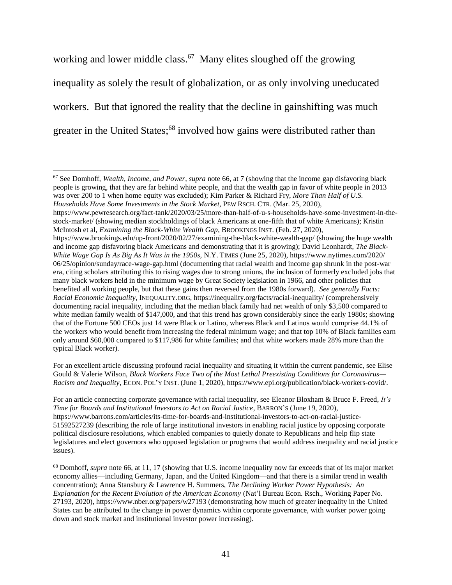working and lower middle class.<sup>67</sup> Many elites sloughed off the growing inequality as solely the result of globalization, or as only involving uneducated workers. But that ignored the reality that the decline in gainshifting was much greater in the United States;<sup>68</sup> involved how gains were distributed rather than

<sup>67</sup> See Domhoff, *Wealth, Income, and Power*, *supra* note 66, at 7 (showing that the income gap disfavoring black people is growing, that they are far behind white people, and that the wealth gap in favor of white people in 2013 was over 200 to 1 when home equity was excluded); Kim Parker & Richard Fry, *More Than Half of U.S. Households Have Some Investments in the Stock Market*, PEW RSCH. CTR. (Mar. 25, 2020),

 $\overline{a}$ 

https://www.pewresearch.org/fact-tank/2020/03/25/more-than-half-of-u-s-households-have-some-investment-in-thestock-market/ (showing median stockholdings of black Americans at one-fifth that of white Americans); Kristin McIntosh et al, *Examining the Black-White Wealth Gap*, BROOKINGS INST. (Feb. 27, 2020),

For an excellent article discussing profound racial inequality and situating it within the current pandemic, see Elise Gould & Valerie Wilson, *Black Workers Face Two of the Most Lethal Preexisting Conditions for Coronavirus— Racism and Inequality*, ECON. POL'Y INST. (June 1, 2020), https://www.epi.org/publication/black-workers-covid/.

For an article connecting corporate governance with racial inequality, see Eleanor Bloxham & Bruce F. Freed, *It's Time for Boards and Institutional Investors to Act on Racial Justice*, BARRON'S (June 19, 2020), https://www.barrons.com/articles/its-time-for-boards-and-institutional-investors-to-act-on-racial-justice-51592527239 (describing the role of large institutional investors in enabling racial justice by opposing corporate political disclosure resolutions, which enabled companies to quietly donate to Republicans and help flip state legislatures and elect governors who opposed legislation or programs that would address inequality and racial justice issues).

<sup>68</sup> Domhoff, *supra* note 66, at 11, 17 (showing that U.S. income inequality now far exceeds that of its major market economy allies—including Germany, Japan, and the United Kingdom—and that there is a similar trend in wealth concentration); Anna Stansbury & Lawrence H. Summers, *The Declining Worker Power Hypothesis: An Explanation for the Recent Evolution of the American Economy* (Nat'l Bureau Econ. Rsch., Working Paper No. 27193, 2020), https://www.nber.org/papers/w27193 (demonstrating how much of greater inequality in the United States can be attributed to the change in power dynamics within corporate governance, with worker power going down and stock market and institutional investor power increasing).

https://www.brookings.edu/up-front/2020/02/27/examining-the-black-white-wealth-gap/ (showing the huge wealth and income gap disfavoring black Americans and demonstrating that it is growing); David Leonhardt, *The Black-White Wage Gap Is As Big As It Was in the 1950s*, N.Y. TIMES (June 25, 2020), https://www.nytimes.com/2020/ 06/25/opinion/sunday/race-wage-gap.html (documenting that racial wealth and income gap shrunk in the post-war era, citing scholars attributing this to rising wages due to strong unions, the inclusion of formerly excluded jobs that many black workers held in the minimum wage by Great Society legislation in 1966, and other policies that benefited all working people, but that these gains then reversed from the 1980s forward). *See generally Facts: Racial Economic Inequality*, INEQUALITY.ORG, https://inequality.org/facts/racial-inequality/ (comprehensively documenting racial inequality, including that the median black family had net wealth of only \$3,500 compared to white median family wealth of \$147,000, and that this trend has grown considerably since the early 1980s; showing that of the Fortune 500 CEOs just 14 were Black or Latino, whereas Black and Latinos would comprise 44.1% of the workers who would benefit from increasing the federal minimum wage; and that top 10% of Black families earn only around \$60,000 compared to \$117,986 for white families; and that white workers made 28% more than the typical Black worker).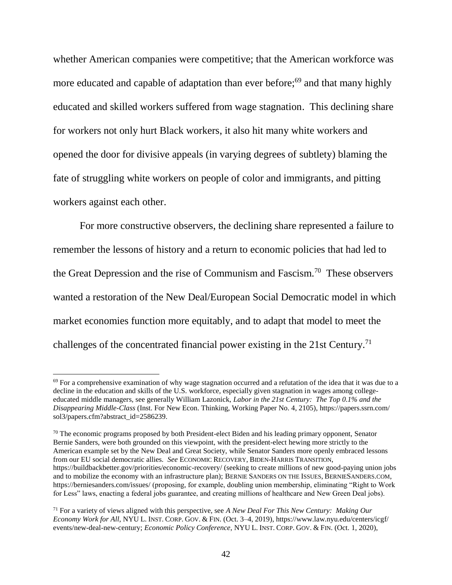whether American companies were competitive; that the American workforce was more educated and capable of adaptation than ever before;<sup>69</sup> and that many highly educated and skilled workers suffered from wage stagnation. This declining share for workers not only hurt Black workers, it also hit many white workers and opened the door for divisive appeals (in varying degrees of subtlety) blaming the fate of struggling white workers on people of color and immigrants, and pitting workers against each other.

For more constructive observers, the declining share represented a failure to remember the lessons of history and a return to economic policies that had led to the Great Depression and the rise of Communism and Fascism.<sup>70</sup> These observers wanted a restoration of the New Deal/European Social Democratic model in which market economies function more equitably, and to adapt that model to meet the challenges of the concentrated financial power existing in the 21st Century.<sup>71</sup>

 $69$  For a comprehensive examination of why wage stagnation occurred and a refutation of the idea that it was due to a decline in the education and skills of the U.S. workforce, especially given stagnation in wages among collegeeducated middle managers, see generally William Lazonick, *Labor in the 21st Century: The Top 0.1% and the Disappearing Middle-Class* (Inst. For New Econ. Thinking, Working Paper No. 4, 2105), https://papers.ssrn.com/ sol3/papers.cfm?abstract\_id=2586239.

<sup>&</sup>lt;sup>70</sup> The economic programs proposed by both President-elect Biden and his leading primary opponent, Senator Bernie Sanders, were both grounded on this viewpoint, with the president-elect hewing more strictly to the American example set by the New Deal and Great Society, while Senator Sanders more openly embraced lessons from our EU social democratic allies. *See* ECONOMIC RECOVERY, BIDEN-HARRIS TRANSITION, https://buildbackbetter.gov/priorities/economic-recovery/ (seeking to create millions of new good-paying union jobs and to mobilize the economy with an infrastructure plan); BERNIE SANDERS ON THE ISSUES, BERNIESANDERS.COM, https://berniesanders.com/issues/ (proposing, for example, doubling union membership, eliminating "Right to Work for Less" laws, enacting a federal jobs guarantee, and creating millions of healthcare and New Green Deal jobs).

<sup>71</sup> For a variety of views aligned with this perspective, see *A New Deal For This New Century: Making Our Economy Work for All*, NYU L. INST. CORP. GOV. & FIN. (Oct. 3–4, 2019), https://www.law.nyu.edu/centers/icgf/ events/new-deal-new-century; *Economic Policy Conference*, NYU L. INST. CORP. GOV. & FIN. (Oct. 1, 2020),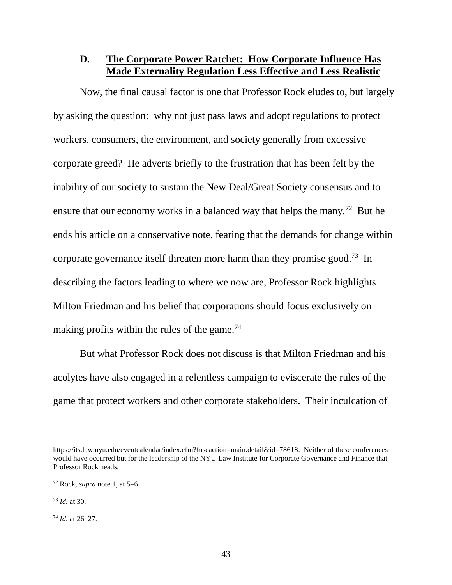#### **D. The Corporate Power Ratchet: How Corporate Influence Has Made Externality Regulation Less Effective and Less Realistic**

Now, the final causal factor is one that Professor Rock eludes to, but largely by asking the question: why not just pass laws and adopt regulations to protect workers, consumers, the environment, and society generally from excessive corporate greed? He adverts briefly to the frustration that has been felt by the inability of our society to sustain the New Deal/Great Society consensus and to ensure that our economy works in a balanced way that helps the many.<sup>72</sup> But he ends his article on a conservative note, fearing that the demands for change within corporate governance itself threaten more harm than they promise good.<sup>73</sup> In describing the factors leading to where we now are, Professor Rock highlights Milton Friedman and his belief that corporations should focus exclusively on making profits within the rules of the game.<sup>74</sup>

But what Professor Rock does not discuss is that Milton Friedman and his acolytes have also engaged in a relentless campaign to eviscerate the rules of the game that protect workers and other corporate stakeholders. Their inculcation of

https://its.law.nyu.edu/eventcalendar/index.cfm?fuseaction=main.detail&id=78618. Neither of these conferences would have occurred but for the leadership of the NYU Law Institute for Corporate Governance and Finance that Professor Rock heads.

<sup>72</sup> Rock, *supra* note 1, at 5–6.

<sup>73</sup> *Id.* at 30.

<sup>74</sup> *Id.* at 26–27.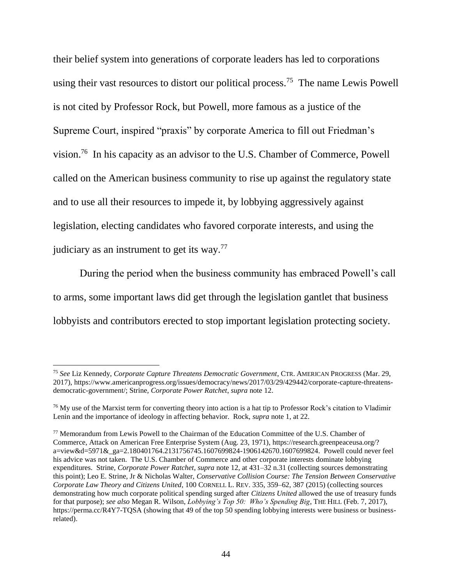their belief system into generations of corporate leaders has led to corporations using their vast resources to distort our political process.<sup>75</sup> The name Lewis Powell is not cited by Professor Rock, but Powell, more famous as a justice of the Supreme Court, inspired "praxis" by corporate America to fill out Friedman's vision.<sup>76</sup> In his capacity as an advisor to the U.S. Chamber of Commerce, Powell called on the American business community to rise up against the regulatory state and to use all their resources to impede it, by lobbying aggressively against legislation, electing candidates who favored corporate interests, and using the judiciary as an instrument to get its way. $^{77}$ 

During the period when the business community has embraced Powell's call to arms, some important laws did get through the legislation gantlet that business lobbyists and contributors erected to stop important legislation protecting society.

<sup>75</sup> *See* Liz Kennedy, *Corporate Capture Threatens Democratic Government*, CTR. AMERICAN PROGRESS (Mar. 29, 2017), https://www.americanprogress.org/issues/democracy/news/2017/03/29/429442/corporate-capture-threatensdemocratic-government/; Strine, *Corporate Power Ratchet*, *supra* note 12.

<sup>&</sup>lt;sup>76</sup> My use of the Marxist term for converting theory into action is a hat tip to Professor Rock's citation to Vladimir Lenin and the importance of ideology in affecting behavior. Rock, *supra* note 1, at 22.

<sup>77</sup> Memorandum from Lewis Powell to the Chairman of the Education Committee of the U.S. Chamber of Commerce, Attack on American Free Enterprise System (Aug. 23, 1971), https://research.greenpeaceusa.org/? a=view&d=5971&\_ga=2.180401764.2131756745.1607699824-1906142670.1607699824. Powell could never feel his advice was not taken. The U.S. Chamber of Commerce and other corporate interests dominate lobbying expenditures. Strine, *Corporate Power Ratchet*, *supra* note 12, at 431–32 n.31 (collecting sources demonstrating this point); Leo E. Strine, Jr & Nicholas Walter, *Conservative Collision Course: The Tension Between Conservative Corporate Law Theory and Citizens United*, 100 CORNELL L. REV. 335, 359–62, 387 (2015) (collecting sources demonstrating how much corporate political spending surged after *Citizens United* allowed the use of treasury funds for that purpose); *see also* Megan R. Wilson, *Lobbying's Top 50: Who's Spending Big*, THE HILL (Feb. 7, 2017), https://perma.cc/R4Y7-TQSA (showing that 49 of the top 50 spending lobbying interests were business or businessrelated).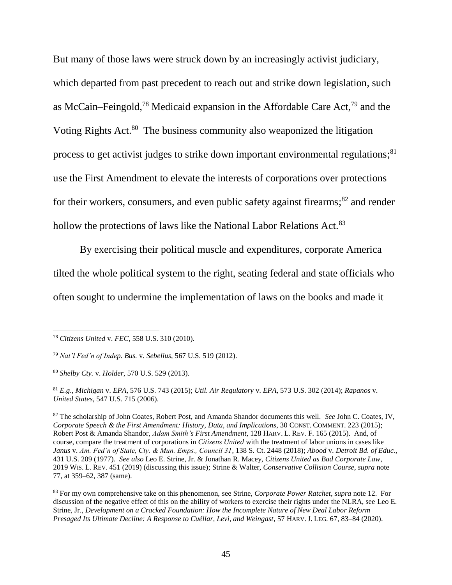But many of those laws were struck down by an increasingly activist judiciary, which departed from past precedent to reach out and strike down legislation, such as McCain–Feingold,<sup>78</sup> Medicaid expansion in the Affordable Care Act,<sup>79</sup> and the Voting Rights Act.<sup>80</sup> The business community also weaponized the litigation process to get activist judges to strike down important environmental regulations;<sup>81</sup> use the First Amendment to elevate the interests of corporations over protections for their workers, consumers, and even public safety against firearms;<sup>82</sup> and render hollow the protections of laws like the National Labor Relations Act.<sup>83</sup>

By exercising their political muscle and expenditures, corporate America tilted the whole political system to the right, seating federal and state officials who often sought to undermine the implementation of laws on the books and made it

<sup>78</sup> *Citizens United* v. *FEC*, 558 U.S. 310 (2010).

<sup>79</sup> *Nat'l Fed'n of Indep. Bus.* v. *Sebelius*, 567 U.S. 519 (2012).

<sup>80</sup> *Shelby Cty.* v. *Holder*, 570 U.S. 529 (2013).

<sup>81</sup> *E.g*., *Michigan* v. *EPA*, 576 U.S. 743 (2015); *Util. Air Regulatory* v. *EPA*, 573 U.S. 302 (2014); *Rapanos* v. *United States*, 547 U.S. 715 (2006).

<sup>82</sup> The scholarship of John Coates, Robert Post, and Amanda Shandor documents this well. *See* John C. Coates, IV, *Corporate Speech & the First Amendment: History, Data, and Implications*, 30 CONST. COMMENT. 223 (2015); Robert Post & Amanda Shandor, *Adam Smith's First Amendment*, 128 HARV. L. REV. F. 165 (2015). And, of course, compare the treatment of corporations in *Citizens United* with the treatment of labor unions in cases like *Janus* v. *Am. Fed'n of State, Cty. & Mun. Emps., Council 31*, 138 S. Ct. 2448 (2018); *Abood* v. *Detroit Bd. of Educ.*, 431 U.S. 209 (1977). *See also* Leo E. Strine, Jr. & Jonathan R. Macey, *Citizens United as Bad Corporate Law*, 2019 WIS. L. REV. 451 (2019) (discussing this issue); Strine & Walter, *Conservative Collision Course*, *supra* note 77, at 359–62, 387 (same).

<sup>83</sup> For my own comprehensive take on this phenomenon, see Strine, *Corporate Power Ratchet*, *supra* note 12. For discussion of the negative effect of this on the ability of workers to exercise their rights under the NLRA, see Leo E. Strine, Jr., *Development on a Cracked Foundation: How the Incomplete Nature of New Deal Labor Reform Presaged Its Ultimate Decline: A Response to Cuéllar, Levi, and Weingast*, 57 HARV. J. LEG. 67, 83–84 (2020).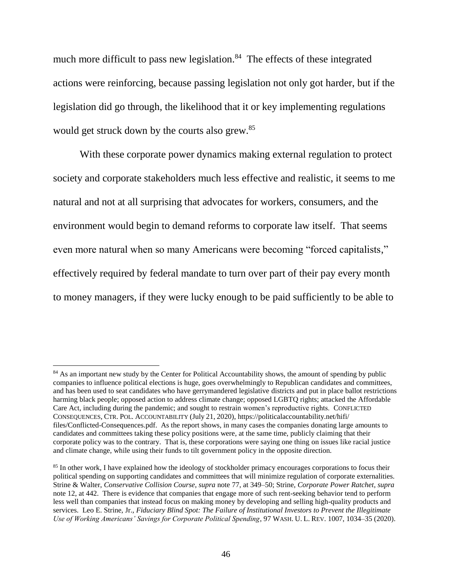much more difficult to pass new legislation. $84$  The effects of these integrated actions were reinforcing, because passing legislation not only got harder, but if the legislation did go through, the likelihood that it or key implementing regulations would get struck down by the courts also grew.<sup>85</sup>

With these corporate power dynamics making external regulation to protect society and corporate stakeholders much less effective and realistic, it seems to me natural and not at all surprising that advocates for workers, consumers, and the environment would begin to demand reforms to corporate law itself. That seems even more natural when so many Americans were becoming "forced capitalists," effectively required by federal mandate to turn over part of their pay every month to money managers, if they were lucky enough to be paid sufficiently to be able to

<sup>&</sup>lt;sup>84</sup> As an important new study by the Center for Political Accountability shows, the amount of spending by public companies to influence political elections is huge, goes overwhelmingly to Republican candidates and committees, and has been used to seat candidates who have gerrymandered legislative districts and put in place ballot restrictions harming black people; opposed action to address climate change; opposed LGBTQ rights; attacked the Affordable Care Act, including during the pandemic; and sought to restrain women's reproductive rights. CONFLICTED CONSEQUENCES, CTR. POL. ACCOUNTABILITY (July 21, 2020), https://politicalaccountability.net/hifi/ files/Conflicted-Consequences.pdf. As the report shows, in many cases the companies donating large amounts to candidates and committees taking these policy positions were, at the same time, publicly claiming that their corporate policy was to the contrary. That is, these corporations were saying one thing on issues like racial justice and climate change, while using their funds to tilt government policy in the opposite direction.

<sup>&</sup>lt;sup>85</sup> In other work, I have explained how the ideology of stockholder primacy encourages corporations to focus their political spending on supporting candidates and committees that will minimize regulation of corporate externalities. Strine & Walter, *Conservative Collision Course*, *supra* note 77, at 349–50; Strine, *Corporate Power Ratchet*, *supra*  note 12, at 442. There is evidence that companies that engage more of such rent-seeking behavior tend to perform less well than companies that instead focus on making money by developing and selling high-quality products and services. Leo E. Strine, Jr., *Fiduciary Blind Spot: The Failure of Institutional Investors to Prevent the Illegitimate Use of Working Americans' Savings for Corporate Political Spending*, 97 WASH. U. L. REV. 1007, 1034–35 (2020).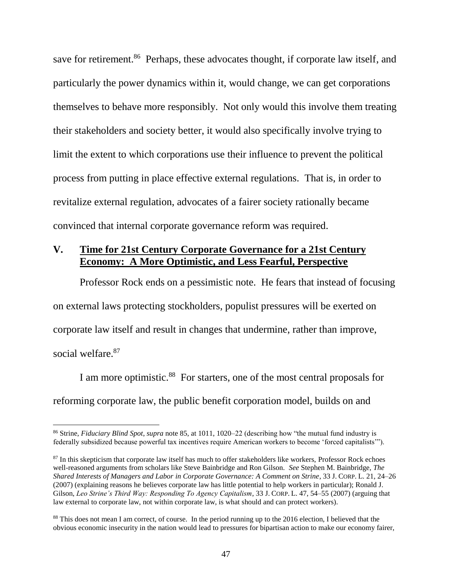save for retirement.<sup>86</sup> Perhaps, these advocates thought, if corporate law itself, and particularly the power dynamics within it, would change, we can get corporations themselves to behave more responsibly. Not only would this involve them treating their stakeholders and society better, it would also specifically involve trying to limit the extent to which corporations use their influence to prevent the political process from putting in place effective external regulations. That is, in order to revitalize external regulation, advocates of a fairer society rationally became convinced that internal corporate governance reform was required.

## **V. Time for 21st Century Corporate Governance for a 21st Century Economy: A More Optimistic, and Less Fearful, Perspective**

Professor Rock ends on a pessimistic note. He fears that instead of focusing on external laws protecting stockholders, populist pressures will be exerted on corporate law itself and result in changes that undermine, rather than improve, social welfare.<sup>87</sup>

I am more optimistic.<sup>88</sup> For starters, one of the most central proposals for reforming corporate law, the public benefit corporation model, builds on and

<sup>86</sup> Strine, *Fiduciary Blind Spot*, *supra* note 85, at 1011, 1020–22 (describing how "the mutual fund industry is federally subsidized because powerful tax incentives require American workers to become 'forced capitalists'").

<sup>&</sup>lt;sup>87</sup> In this skepticism that corporate law itself has much to offer stakeholders like workers, Professor Rock echoes well-reasoned arguments from scholars like Steve Bainbridge and Ron Gilson. *See* Stephen M. Bainbridge, *The Shared Interests of Managers and Labor in Corporate Governance: A Comment on Strine*, 33 J. CORP. L. 21, 24–26 (2007) (explaining reasons he believes corporate law has little potential to help workers in particular); Ronald J. Gilson, *Leo Strine's Third Way: Responding To Agency Capitalism*, 33 J. CORP. L. 47, 54–55 (2007) (arguing that law external to corporate law, not within corporate law, is what should and can protect workers).

<sup>88</sup> This does not mean I am correct, of course. In the period running up to the 2016 election, I believed that the obvious economic insecurity in the nation would lead to pressures for bipartisan action to make our economy fairer,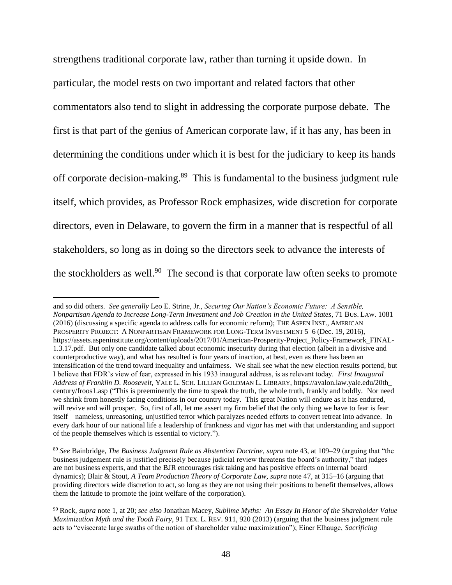strengthens traditional corporate law, rather than turning it upside down. In particular, the model rests on two important and related factors that other commentators also tend to slight in addressing the corporate purpose debate. The first is that part of the genius of American corporate law, if it has any, has been in determining the conditions under which it is best for the judiciary to keep its hands off corporate decision-making.<sup>89</sup> This is fundamental to the business judgment rule itself, which provides, as Professor Rock emphasizes, wide discretion for corporate directors, even in Delaware, to govern the firm in a manner that is respectful of all stakeholders, so long as in doing so the directors seek to advance the interests of the stockholders as well.<sup>90</sup> The second is that corporate law often seeks to promote

and so did others. *See generally* Leo E. Strine, Jr., *Securing Our Nation's Economic Future: A Sensible, Nonpartisan Agenda to Increase Long-Term Investment and Job Creation in the United States*, 71 BUS. LAW. 1081 (2016) (discussing a specific agenda to address calls for economic reform); THE ASPEN INST., AMERICAN PROSPERITY PROJECT: A NONPARTISAN FRAMEWORK FOR LONG-TERM INVESTMENT 5–6 (Dec. 19, 2016), https://assets.aspeninstitute.org/content/uploads/2017/01/American-Prosperity-Project\_Policy-Framework\_FINAL-1.3.17.pdf. But only one candidate talked about economic insecurity during that election (albeit in a divisive and counterproductive way), and what has resulted is four years of inaction, at best, even as there has been an intensification of the trend toward inequality and unfairness. We shall see what the new election results portend, but I believe that FDR's view of fear, expressed in his 1933 inaugural address, is as relevant today. *First Inaugural Address of Franklin D. Roosevelt*, YALE L. SCH. LILLIAN GOLDMAN L. LIBRARY, https://avalon.law.yale.edu/20th\_ century/froos1.asp ("This is preeminently the time to speak the truth, the whole truth, frankly and boldly. Nor need we shrink from honestly facing conditions in our country today. This great Nation will endure as it has endured, will revive and will prosper. So, first of all, let me assert my firm belief that the only thing we have to fear is fear itself—nameless, unreasoning, unjustified terror which paralyzes needed efforts to convert retreat into advance. In every dark hour of our national life a leadership of frankness and vigor has met with that understanding and support of the people themselves which is essential to victory.").

<sup>89</sup> *See* Bainbridge, *The Business Judgment Rule as Abstention Doctrine*, *supra* note 43, at 109–29 (arguing that "the business judgement rule is justified precisely because judicial review threatens the board's authority," that judges are not business experts, and that the BJR encourages risk taking and has positive effects on internal board dynamics); Blair & Stout, *A Team Production Theory of Corporate Law*, *supra* note 47, at 315–16 (arguing that providing directors wide discretion to act, so long as they are not using their positions to benefit themselves, allows them the latitude to promote the joint welfare of the corporation).

<sup>90</sup> Rock, *supra* note 1, at 20; *see also* Jonathan Macey, *Sublime Myths: An Essay In Honor of the Shareholder Value Maximization Myth and the Tooth Fairy*, 91 TEX. L. REV. 911, 920 (2013) (arguing that the business judgment rule acts to "eviscerate large swaths of the notion of shareholder value maximization"); Einer Elhauge, *Sacrificing*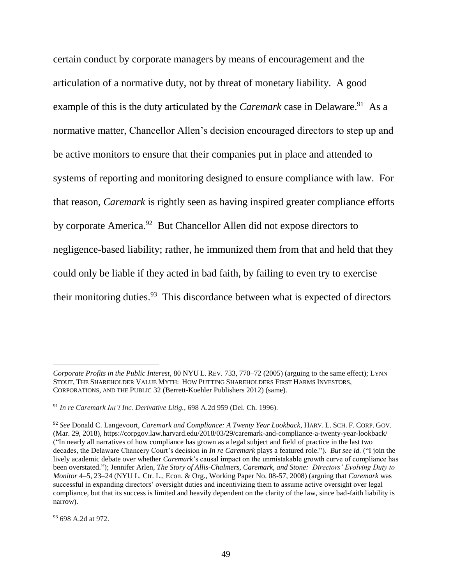certain conduct by corporate managers by means of encouragement and the articulation of a normative duty, not by threat of monetary liability. A good example of this is the duty articulated by the *Caremark* case in Delaware.<sup>91</sup> As a normative matter, Chancellor Allen's decision encouraged directors to step up and be active monitors to ensure that their companies put in place and attended to systems of reporting and monitoring designed to ensure compliance with law. For that reason, *Caremark* is rightly seen as having inspired greater compliance efforts by corporate America.<sup>92</sup> But Chancellor Allen did not expose directors to negligence-based liability; rather, he immunized them from that and held that they could only be liable if they acted in bad faith, by failing to even try to exercise their monitoring duties. $93$  This discordance between what is expected of directors

<sup>93</sup> 698 A.2d at 972.

*Corporate Profits in the Public Interest*, 80 NYU L. REV. 733, 770–72 (2005) (arguing to the same effect); LYNN STOUT, THE SHAREHOLDER VALUE MYTH: HOW PUTTING SHAREHOLDERS FIRST HARMS INVESTORS, CORPORATIONS, AND THE PUBLIC 32 (Berrett-Koehler Publishers 2012) (same).

<sup>91</sup> *In re Caremark Int'l Inc. Derivative Litig.*, 698 A.2d 959 (Del. Ch. 1996).

<sup>92</sup> *See* Donald C. Langevoort, *Caremark and Compliance: A Twenty Year Lookback*, HARV. L. SCH. F. CORP. GOV. (Mar. 29, 2018), https://corpgov.law.harvard.edu/2018/03/29/caremark-and-compliance-a-twenty-year-lookback/ ("In nearly all narratives of how compliance has grown as a legal subject and field of practice in the last two decades, the Delaware Chancery Court's decision in *In re Caremark* plays a featured role."). *But see id.* ("I join the lively academic debate over whether *Caremark*'s causal impact on the unmistakable growth curve of compliance has been overstated."); Jennifer Arlen, *The Story of Allis-Chalmers, Caremark, and Stone: Directors' Evolving Duty to Monitor* 4–5, 23–24 (NYU L. Ctr. L., Econ. & Org., Working Paper No. 08-57, 2008) (arguing that *Caremark* was successful in expanding directors' oversight duties and incentivizing them to assume active oversight over legal compliance, but that its success is limited and heavily dependent on the clarity of the law, since bad-faith liability is narrow).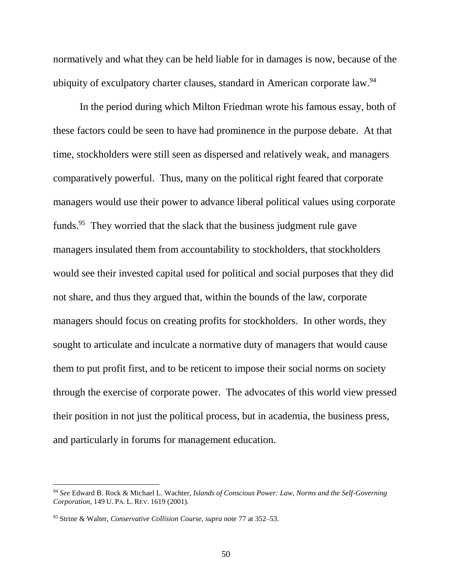normatively and what they can be held liable for in damages is now, because of the ubiquity of exculpatory charter clauses, standard in American corporate law.<sup>94</sup>

In the period during which Milton Friedman wrote his famous essay, both of these factors could be seen to have had prominence in the purpose debate. At that time, stockholders were still seen as dispersed and relatively weak, and managers comparatively powerful. Thus, many on the political right feared that corporate managers would use their power to advance liberal political values using corporate funds.<sup>95</sup> They worried that the slack that the business judgment rule gave managers insulated them from accountability to stockholders, that stockholders would see their invested capital used for political and social purposes that they did not share, and thus they argued that, within the bounds of the law, corporate managers should focus on creating profits for stockholders. In other words, they sought to articulate and inculcate a normative duty of managers that would cause them to put profit first, and to be reticent to impose their social norms on society through the exercise of corporate power. The advocates of this world view pressed their position in not just the political process, but in academia, the business press, and particularly in forums for management education.

<sup>94</sup> *See* Edward B. Rock & Michael L. Wachter, *Islands of Conscious Power: Law, Norms and the Self-Governing Corporation*, 149 U. PA. L. REV. 1619 (2001).

<sup>95</sup> Strine & Walter, *Conservative Collision Course*, *supra* note 77 at 352–53.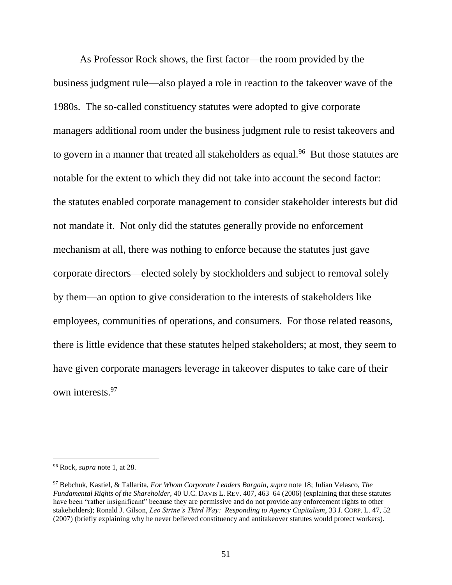As Professor Rock shows, the first factor—the room provided by the business judgment rule—also played a role in reaction to the takeover wave of the 1980s. The so-called constituency statutes were adopted to give corporate managers additional room under the business judgment rule to resist takeovers and to govern in a manner that treated all stakeholders as equal.<sup>96</sup> But those statutes are notable for the extent to which they did not take into account the second factor: the statutes enabled corporate management to consider stakeholder interests but did not mandate it. Not only did the statutes generally provide no enforcement mechanism at all, there was nothing to enforce because the statutes just gave corporate directors—elected solely by stockholders and subject to removal solely by them—an option to give consideration to the interests of stakeholders like employees, communities of operations, and consumers. For those related reasons, there is little evidence that these statutes helped stakeholders; at most, they seem to have given corporate managers leverage in takeover disputes to take care of their own interests.<sup>97</sup>

<sup>96</sup> Rock, *supra* note 1, at 28.

<sup>97</sup> Bebchuk, Kastiel, & Tallarita, *For Whom Corporate Leaders Bargain*, *supra* note 18; Julian Velasco, *The Fundamental Rights of the Shareholder*, 40 U.C. DAVIS L. REV. 407, 463–64 (2006) (explaining that these statutes have been "rather insignificant" because they are permissive and do not provide any enforcement rights to other stakeholders); Ronald J. Gilson, *Leo Strine's Third Way: Responding to Agency Capitalism*, 33 J. CORP. L. 47, 52 (2007) (briefly explaining why he never believed constituency and antitakeover statutes would protect workers).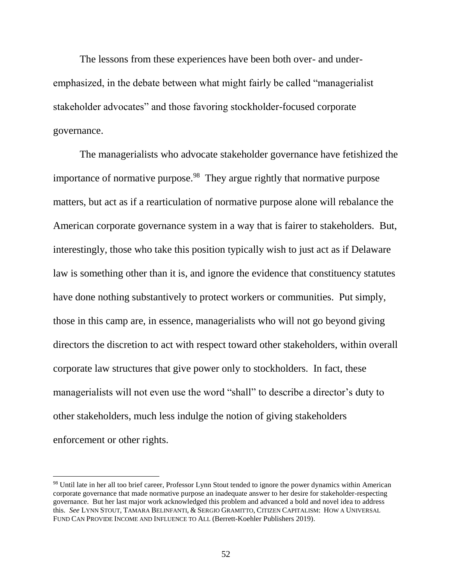The lessons from these experiences have been both over- and underemphasized, in the debate between what might fairly be called "managerialist stakeholder advocates" and those favoring stockholder-focused corporate governance.

The managerialists who advocate stakeholder governance have fetishized the importance of normative purpose.<sup>98</sup> They argue rightly that normative purpose matters, but act as if a rearticulation of normative purpose alone will rebalance the American corporate governance system in a way that is fairer to stakeholders. But, interestingly, those who take this position typically wish to just act as if Delaware law is something other than it is, and ignore the evidence that constituency statutes have done nothing substantively to protect workers or communities. Put simply, those in this camp are, in essence, managerialists who will not go beyond giving directors the discretion to act with respect toward other stakeholders, within overall corporate law structures that give power only to stockholders. In fact, these managerialists will not even use the word "shall" to describe a director's duty to other stakeholders, much less indulge the notion of giving stakeholders enforcement or other rights.

<sup>98</sup> Until late in her all too brief career, Professor Lynn Stout tended to ignore the power dynamics within American corporate governance that made normative purpose an inadequate answer to her desire for stakeholder-respecting governance. But her last major work acknowledged this problem and advanced a bold and novel idea to address this. *See* LYNN STOUT, TAMARA BELINFANTI, & SERGIO GRAMITTO, CITIZEN CAPITALISM: HOW A UNIVERSAL FUND CAN PROVIDE INCOME AND INFLUENCE TO ALL (Berrett-Koehler Publishers 2019).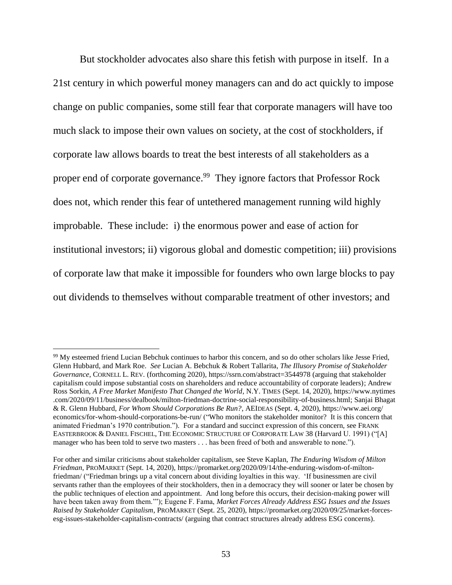But stockholder advocates also share this fetish with purpose in itself. In a 21st century in which powerful money managers can and do act quickly to impose change on public companies, some still fear that corporate managers will have too much slack to impose their own values on society, at the cost of stockholders, if corporate law allows boards to treat the best interests of all stakeholders as a proper end of corporate governance.<sup>99</sup> They ignore factors that Professor Rock does not, which render this fear of untethered management running wild highly improbable. These include: i) the enormous power and ease of action for institutional investors; ii) vigorous global and domestic competition; iii) provisions of corporate law that make it impossible for founders who own large blocks to pay out dividends to themselves without comparable treatment of other investors; and

<sup>&</sup>lt;sup>99</sup> My esteemed friend Lucian Bebchuk continues to harbor this concern, and so do other scholars like Jesse Fried, Glenn Hubbard, and Mark Roe. *See* Lucian A. Bebchuk & Robert Tallarita, *The Illusory Promise of Stakeholder Governance*, CORNELL L. REV*.* (forthcoming 2020), https://ssrn.com/abstract=3544978 (arguing that stakeholder capitalism could impose substantial costs on shareholders and reduce accountability of corporate leaders); Andrew Ross Sorkin, *A Free Market Manifesto That Changed the World*, N.Y. TIMES (Sept. 14, 2020), https://www.nytimes .com/2020/09/11/business/dealbook/milton-friedman-doctrine-social-responsibility-of-business.html; Sanjai Bhagat & R. Glenn Hubbard, *For Whom Should Corporations Be Run?*, AEIDEAS (Sept. 4, 2020), https://www.aei.org/ economics/for-whom-should-corporations-be-run/ ("Who monitors the stakeholder monitor? It is this concern that animated Friedman's 1970 contribution.").For a standard and succinct expression of this concern, see FRANK EASTERBROOK & DANIEL FISCHEL, THE ECONOMIC STRUCTURE OF CORPORATE LAW 38 (Harvard U. 1991) ("[A] manager who has been told to serve two masters . . . has been freed of both and answerable to none.").

For other and similar criticisms about stakeholder capitalism, see Steve Kaplan, *The Enduring Wisdom of Milton Friedman*, PROMARKET (Sept. 14, 2020), https://promarket.org/2020/09/14/the-enduring-wisdom-of-miltonfriedman/ ("Friedman brings up a vital concern about dividing loyalties in this way. 'If businessmen are civil servants rather than the employees of their stockholders, then in a democracy they will sooner or later be chosen by the public techniques of election and appointment. And long before this occurs, their decision-making power will have been taken away from them.'"); Eugene F. Fama, *Market Forces Already Address ESG Issues and the Issues Raised by Stakeholder Capitalism*, PROMARKET (Sept. 25, 2020), https://promarket.org/2020/09/25/market-forcesesg-issues-stakeholder-capitalism-contracts/ (arguing that contract structures already address ESG concerns).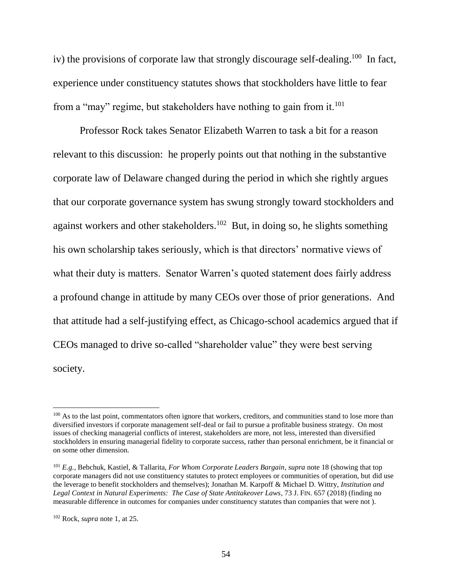iv) the provisions of corporate law that strongly discourage self-dealing.<sup>100</sup> In fact, experience under constituency statutes shows that stockholders have little to fear from a "may" regime, but stakeholders have nothing to gain from it.<sup>101</sup>

Professor Rock takes Senator Elizabeth Warren to task a bit for a reason relevant to this discussion: he properly points out that nothing in the substantive corporate law of Delaware changed during the period in which she rightly argues that our corporate governance system has swung strongly toward stockholders and against workers and other stakeholders.<sup>102</sup> But, in doing so, he slights something his own scholarship takes seriously, which is that directors' normative views of what their duty is matters. Senator Warren's quoted statement does fairly address a profound change in attitude by many CEOs over those of prior generations. And that attitude had a self-justifying effect, as Chicago-school academics argued that if CEOs managed to drive so-called "shareholder value" they were best serving society.

<sup>&</sup>lt;sup>100</sup> As to the last point, commentators often ignore that workers, creditors, and communities stand to lose more than diversified investors if corporate management self-deal or fail to pursue a profitable business strategy. On most issues of checking managerial conflicts of interest, stakeholders are more, not less, interested than diversified stockholders in ensuring managerial fidelity to corporate success, rather than personal enrichment, be it financial or on some other dimension.

<sup>101</sup> *E.g.*, Bebchuk, Kastiel, & Tallarita, *For Whom Corporate Leaders Bargain*, *supra* note 18 (showing that top corporate managers did not use constituency statutes to protect employees or communities of operation, but did use the leverage to benefit stockholders and themselves); Jonathan M. Karpoff & Michael D. Wittry, *Institution and Legal Context in Natural Experiments: The Case of State Antitakeover Laws*, 73 J. FIN. 657 (2018) (finding no measurable difference in outcomes for companies under constituency statutes than companies that were not ).

<sup>102</sup> Rock, *supra* note 1, at 25.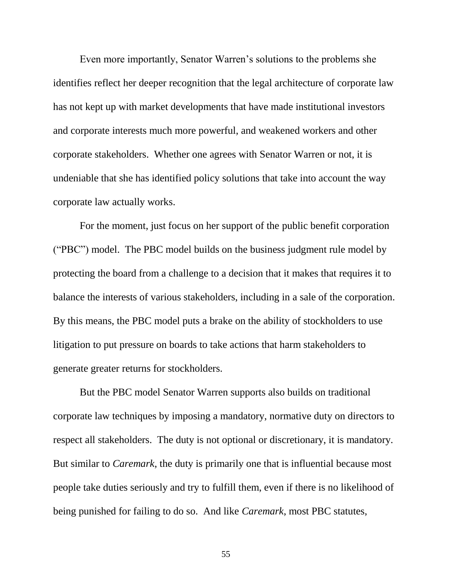Even more importantly, Senator Warren's solutions to the problems she identifies reflect her deeper recognition that the legal architecture of corporate law has not kept up with market developments that have made institutional investors and corporate interests much more powerful, and weakened workers and other corporate stakeholders. Whether one agrees with Senator Warren or not, it is undeniable that she has identified policy solutions that take into account the way corporate law actually works.

For the moment, just focus on her support of the public benefit corporation ("PBC") model. The PBC model builds on the business judgment rule model by protecting the board from a challenge to a decision that it makes that requires it to balance the interests of various stakeholders, including in a sale of the corporation. By this means, the PBC model puts a brake on the ability of stockholders to use litigation to put pressure on boards to take actions that harm stakeholders to generate greater returns for stockholders.

But the PBC model Senator Warren supports also builds on traditional corporate law techniques by imposing a mandatory, normative duty on directors to respect all stakeholders. The duty is not optional or discretionary, it is mandatory. But similar to *Caremark*, the duty is primarily one that is influential because most people take duties seriously and try to fulfill them, even if there is no likelihood of being punished for failing to do so. And like *Caremark*, most PBC statutes,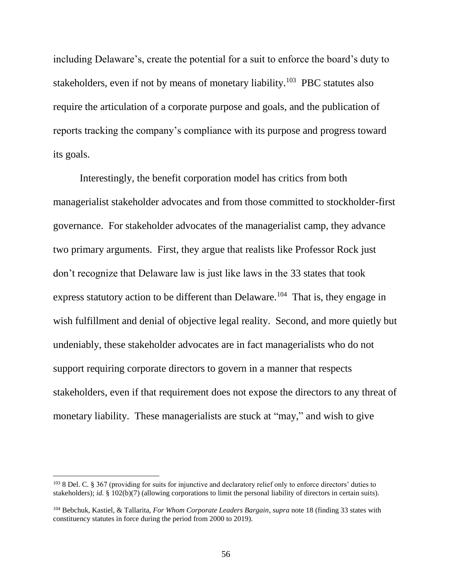including Delaware's, create the potential for a suit to enforce the board's duty to stakeholders, even if not by means of monetary liability.<sup>103</sup> PBC statutes also require the articulation of a corporate purpose and goals, and the publication of reports tracking the company's compliance with its purpose and progress toward its goals.

Interestingly, the benefit corporation model has critics from both managerialist stakeholder advocates and from those committed to stockholder-first governance. For stakeholder advocates of the managerialist camp, they advance two primary arguments. First, they argue that realists like Professor Rock just don't recognize that Delaware law is just like laws in the 33 states that took express statutory action to be different than Delaware.<sup>104</sup> That is, they engage in wish fulfillment and denial of objective legal reality. Second, and more quietly but undeniably, these stakeholder advocates are in fact managerialists who do not support requiring corporate directors to govern in a manner that respects stakeholders, even if that requirement does not expose the directors to any threat of monetary liability. These managerialists are stuck at "may," and wish to give

<sup>103</sup> 8 Del. C. § 367 (providing for suits for injunctive and declaratory relief only to enforce directors' duties to stakeholders); *id.* § 102(b)(7) (allowing corporations to limit the personal liability of directors in certain suits).

<sup>104</sup> Bebchuk, Kastiel, & Tallarita, *For Whom Corporate Leaders Bargain*, *supra* note 18 (finding 33 states with constituency statutes in force during the period from 2000 to 2019).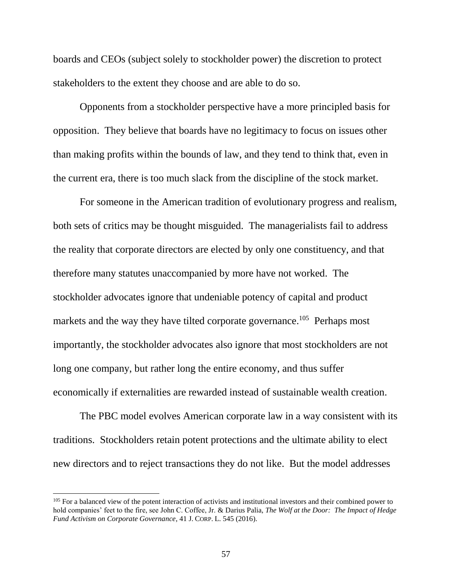boards and CEOs (subject solely to stockholder power) the discretion to protect stakeholders to the extent they choose and are able to do so.

Opponents from a stockholder perspective have a more principled basis for opposition. They believe that boards have no legitimacy to focus on issues other than making profits within the bounds of law, and they tend to think that, even in the current era, there is too much slack from the discipline of the stock market.

For someone in the American tradition of evolutionary progress and realism, both sets of critics may be thought misguided. The managerialists fail to address the reality that corporate directors are elected by only one constituency, and that therefore many statutes unaccompanied by more have not worked. The stockholder advocates ignore that undeniable potency of capital and product markets and the way they have tilted corporate governance.<sup>105</sup> Perhaps most importantly, the stockholder advocates also ignore that most stockholders are not long one company, but rather long the entire economy, and thus suffer economically if externalities are rewarded instead of sustainable wealth creation.

The PBC model evolves American corporate law in a way consistent with its traditions. Stockholders retain potent protections and the ultimate ability to elect new directors and to reject transactions they do not like. But the model addresses

<sup>&</sup>lt;sup>105</sup> For a balanced view of the potent interaction of activists and institutional investors and their combined power to hold companies' feet to the fire, see John C. Coffee, Jr. & Darius Palia, *The Wolf at the Door: The Impact of Hedge Fund Activism on Corporate Governance*, 41 J. CORP. L. 545 (2016).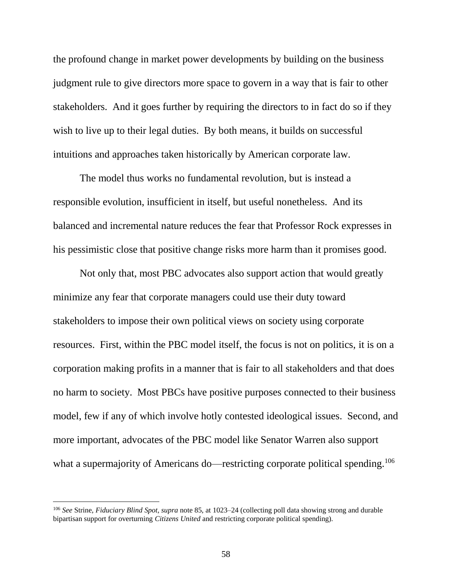the profound change in market power developments by building on the business judgment rule to give directors more space to govern in a way that is fair to other stakeholders. And it goes further by requiring the directors to in fact do so if they wish to live up to their legal duties. By both means, it builds on successful intuitions and approaches taken historically by American corporate law.

The model thus works no fundamental revolution, but is instead a responsible evolution, insufficient in itself, but useful nonetheless. And its balanced and incremental nature reduces the fear that Professor Rock expresses in his pessimistic close that positive change risks more harm than it promises good.

Not only that, most PBC advocates also support action that would greatly minimize any fear that corporate managers could use their duty toward stakeholders to impose their own political views on society using corporate resources. First, within the PBC model itself, the focus is not on politics, it is on a corporation making profits in a manner that is fair to all stakeholders and that does no harm to society. Most PBCs have positive purposes connected to their business model, few if any of which involve hotly contested ideological issues. Second, and more important, advocates of the PBC model like Senator Warren also support what a supermajority of Americans do—restricting corporate political spending.<sup>106</sup>

<sup>106</sup> *See* Strine, *Fiduciary Blind Spot*, *supra* note 85, at 1023–24 (collecting poll data showing strong and durable bipartisan support for overturning *Citizens United* and restricting corporate political spending).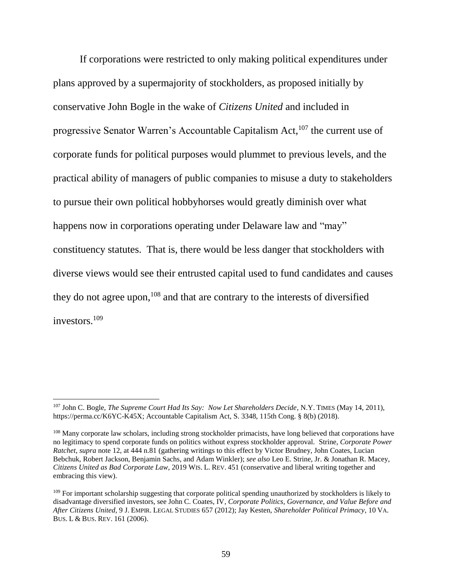If corporations were restricted to only making political expenditures under plans approved by a supermajority of stockholders, as proposed initially by conservative John Bogle in the wake of *Citizens United* and included in progressive Senator Warren's Accountable Capitalism  $Act<sub>107</sub>$  the current use of corporate funds for political purposes would plummet to previous levels, and the practical ability of managers of public companies to misuse a duty to stakeholders to pursue their own political hobbyhorses would greatly diminish over what happens now in corporations operating under Delaware law and "may" constituency statutes. That is, there would be less danger that stockholders with diverse views would see their entrusted capital used to fund candidates and causes they do not agree upon,  $108$  and that are contrary to the interests of diversified investors.<sup>109</sup>

<sup>107</sup> John C. Bogle, *The Supreme Court Had Its Say: Now Let Shareholders Decide*, N.Y. TIMES (May 14, 2011), https://perma.cc/K6YC-K45X; Accountable Capitalism Act, S. 3348, 115th Cong. § 8(b) (2018).

<sup>&</sup>lt;sup>108</sup> Many corporate law scholars, including strong stockholder primacists, have long believed that corporations have no legitimacy to spend corporate funds on politics without express stockholder approval. Strine, *Corporate Power Ratchet*, *supra* note 12, at 444 n.81 (gathering writings to this effect by Victor Brudney, John Coates, Lucian Bebchuk, Robert Jackson, Benjamin Sachs, and Adam Winkler); *see also* Leo E. Strine, Jr. & Jonathan R. Macey, *Citizens United as Bad Corporate Law*, 2019 WIS. L. REV. 451 (conservative and liberal writing together and embracing this view).

<sup>&</sup>lt;sup>109</sup> For important scholarship suggesting that corporate political spending unauthorized by stockholders is likely to disadvantage diversified investors, see John C. Coates, IV*, Corporate Politics, Governance, and Value Before and After Citizens United*, 9 J. EMPIR. LEGAL STUDIES 657 (2012); Jay Kesten, *Shareholder Political Primacy*, 10 VA. BUS. L & BUS. REV. 161 (2006).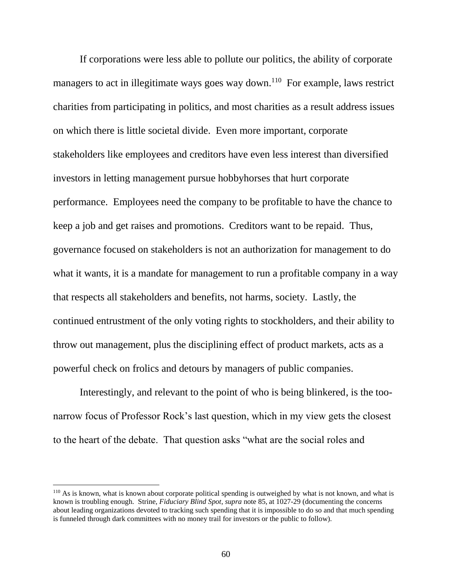If corporations were less able to pollute our politics, the ability of corporate managers to act in illegitimate ways goes way down.<sup>110</sup> For example, laws restrict charities from participating in politics, and most charities as a result address issues on which there is little societal divide. Even more important, corporate stakeholders like employees and creditors have even less interest than diversified investors in letting management pursue hobbyhorses that hurt corporate performance. Employees need the company to be profitable to have the chance to keep a job and get raises and promotions. Creditors want to be repaid. Thus, governance focused on stakeholders is not an authorization for management to do what it wants, it is a mandate for management to run a profitable company in a way that respects all stakeholders and benefits, not harms, society. Lastly, the continued entrustment of the only voting rights to stockholders, and their ability to throw out management, plus the disciplining effect of product markets, acts as a powerful check on frolics and detours by managers of public companies.

Interestingly, and relevant to the point of who is being blinkered, is the toonarrow focus of Professor Rock's last question, which in my view gets the closest to the heart of the debate. That question asks "what are the social roles and

<sup>&</sup>lt;sup>110</sup> As is known, what is known about corporate political spending is outweighed by what is not known, and what is known is troubling enough. Strine, *Fiduciary Blind Spot*, *supra* note 85, at 1027-29 (documenting the concerns about leading organizations devoted to tracking such spending that it is impossible to do so and that much spending is funneled through dark committees with no money trail for investors or the public to follow).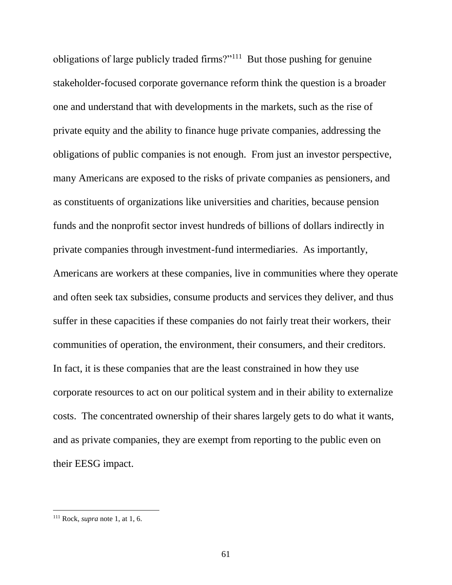obligations of large publicly traded firms?"<sup>111</sup> But those pushing for genuine stakeholder-focused corporate governance reform think the question is a broader one and understand that with developments in the markets, such as the rise of private equity and the ability to finance huge private companies, addressing the obligations of public companies is not enough. From just an investor perspective, many Americans are exposed to the risks of private companies as pensioners, and as constituents of organizations like universities and charities, because pension funds and the nonprofit sector invest hundreds of billions of dollars indirectly in private companies through investment-fund intermediaries. As importantly, Americans are workers at these companies, live in communities where they operate and often seek tax subsidies, consume products and services they deliver, and thus suffer in these capacities if these companies do not fairly treat their workers, their communities of operation, the environment, their consumers, and their creditors. In fact, it is these companies that are the least constrained in how they use corporate resources to act on our political system and in their ability to externalize costs. The concentrated ownership of their shares largely gets to do what it wants, and as private companies, they are exempt from reporting to the public even on their EESG impact.

<sup>111</sup> Rock, *supra* note 1, at 1, 6.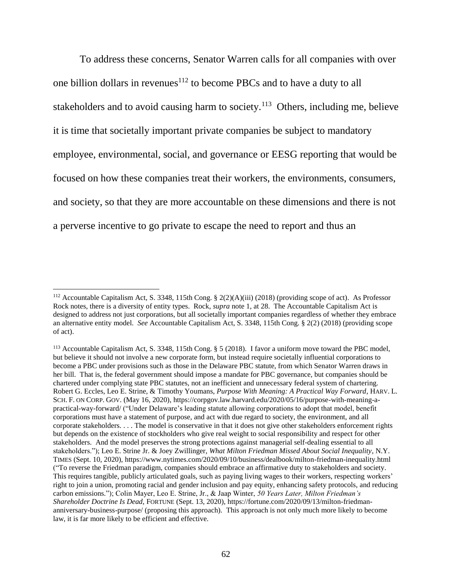To address these concerns, Senator Warren calls for all companies with over one billion dollars in revenues<sup>112</sup> to become PBCs and to have a duty to all stakeholders and to avoid causing harm to society.<sup>113</sup> Others, including me, believe it is time that societally important private companies be subject to mandatory employee, environmental, social, and governance or EESG reporting that would be focused on how these companies treat their workers, the environments, consumers, and society, so that they are more accountable on these dimensions and there is not a perverse incentive to go private to escape the need to report and thus an

<sup>112</sup> Accountable Capitalism Act, S. 3348, 115th Cong. § 2(2)(A)(iii) (2018) (providing scope of act). As Professor Rock notes, there is a diversity of entity types. Rock, *supra* note 1, at 28. The Accountable Capitalism Act is designed to address not just corporations, but all societally important companies regardless of whether they embrace an alternative entity model. *See* Accountable Capitalism Act, S. 3348, 115th Cong. § 2(2) (2018) (providing scope of act).

<sup>113</sup> Accountable Capitalism Act, S. 3348, 115th Cong. § 5 (2018). I favor a uniform move toward the PBC model, but believe it should not involve a new corporate form, but instead require societally influential corporations to become a PBC under provisions such as those in the Delaware PBC statute, from which Senator Warren draws in her bill. That is, the federal government should impose a mandate for PBC governance, but companies should be chartered under complying state PBC statutes, not an inefficient and unnecessary federal system of chartering. Robert G. Eccles, Leo E. Strine, & Timothy Youmans, *Purpose With Meaning: A Practical Way Forward*, HARV. L. SCH. F. ON CORP. GOV. (May 16, 2020), https://corpgov.law.harvard.edu/2020/05/16/purpose-with-meaning-apractical-way-forward/ ("Under Delaware's leading statute allowing corporations to adopt that model, benefit corporations must have a statement of purpose, and act with due regard to society, the environment, and all corporate stakeholders. . . . The model is conservative in that it does not give other stakeholders enforcement rights but depends on the existence of stockholders who give real weight to social responsibility and respect for other stakeholders. And the model preserves the strong protections against managerial self-dealing essential to all stakeholders."); Leo E. Strine Jr. & Joey Zwillinger, *What Milton Friedman Missed About Social Inequality*, N.Y. TIMES (Sept. 10, 2020), https://www.nytimes.com/2020/09/10/business/dealbook/milton-friedman-inequality.html ("To reverse the Friedman paradigm, companies should embrace an affirmative duty to stakeholders and society. This requires tangible, publicly articulated goals, such as paying living wages to their workers, respecting workers' right to join a union, promoting racial and gender inclusion and pay equity, enhancing safety protocols, and reducing carbon emissions."); Colin Mayer, Leo E. Strine, Jr., & Jaap Winter, *50 Years Later, Milton Friedman's Shareholder Doctrine Is Dead*, FORTUNE (Sept. 13, 2020), https://fortune.com/2020/09/13/milton-friedmananniversary-business-purpose/ (proposing this approach). This approach is not only much more likely to become law, it is far more likely to be efficient and effective.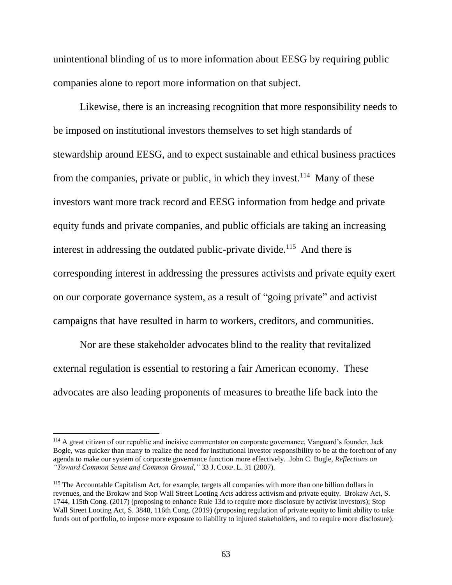unintentional blinding of us to more information about EESG by requiring public companies alone to report more information on that subject.

Likewise, there is an increasing recognition that more responsibility needs to be imposed on institutional investors themselves to set high standards of stewardship around EESG, and to expect sustainable and ethical business practices from the companies, private or public, in which they invest.<sup>114</sup> Many of these investors want more track record and EESG information from hedge and private equity funds and private companies, and public officials are taking an increasing interest in addressing the outdated public-private divide.<sup>115</sup> And there is corresponding interest in addressing the pressures activists and private equity exert on our corporate governance system, as a result of "going private" and activist campaigns that have resulted in harm to workers, creditors, and communities.

Nor are these stakeholder advocates blind to the reality that revitalized external regulation is essential to restoring a fair American economy. These advocates are also leading proponents of measures to breathe life back into the

<sup>&</sup>lt;sup>114</sup> A great citizen of our republic and incisive commentator on corporate governance, Vanguard's founder, Jack Bogle, was quicker than many to realize the need for institutional investor responsibility to be at the forefront of any agenda to make our system of corporate governance function more effectively. John C. Bogle, *Reflections on "Toward Common Sense and Common Ground*,*"* 33 J. CORP. L. 31 (2007).

<sup>115</sup> The Accountable Capitalism Act, for example, targets all companies with more than one billion dollars in revenues, and the Brokaw and Stop Wall Street Looting Acts address activism and private equity. Brokaw Act, S. 1744, 115th Cong. (2017) (proposing to enhance Rule 13d to require more disclosure by activist investors); Stop Wall Street Looting Act, S. 3848, 116th Cong. (2019) (proposing regulation of private equity to limit ability to take funds out of portfolio, to impose more exposure to liability to injured stakeholders, and to require more disclosure).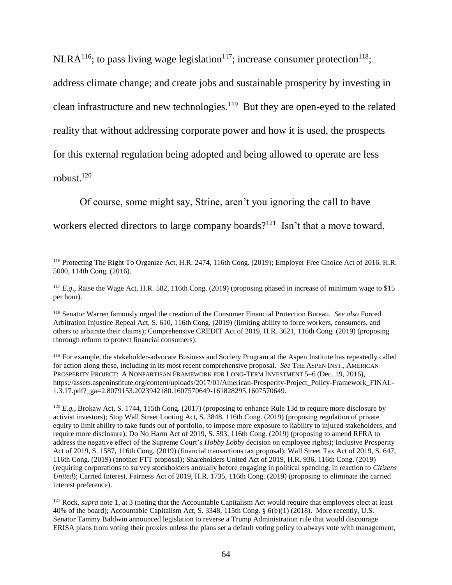NLRA<sup>116</sup>; to pass living wage legislation<sup>117</sup>; increase consumer protection<sup>118</sup>;

address climate change; and create jobs and sustainable prosperity by investing in

clean infrastructure and new technologies. $119$  But they are open-eyed to the related

reality that without addressing corporate power and how it is used, the prospects

for this external regulation being adopted and being allowed to operate are less

robust.<sup>120</sup>

Of course, some might say, Strine, aren't you ignoring the call to have

workers elected directors to large company boards?<sup>121</sup> Isn't that a move toward,

<sup>119</sup> For example, the stakeholder-advocate Business and Society Program at the Aspen Institute has repeatedly called for action along these, including in its most recent comprehensive proposal. *See* THE ASPEN INST., AMERICAN PROSPERITY PROJECT: A NONPARTISAN FRAMEWORK FOR LONG-TERM INVESTMENT 5-6 (Dec. 19, 2016), https://assets.aspeninstitute.org/content/uploads/2017/01/American-Prosperity-Project\_Policy-Framework\_FINAL-1.3.17.pdf?\_ga=2.8079153.2023942180.1607570649-161828295.1607570649.

<sup>120</sup> *E.g.*, Brokaw Act, S. 1744, 115th Cong. (2017) (proposing to enhance Rule 13d to require more disclosure by activist investors); Stop Wall Street Looting Act, S. 3848, 116th Cong. (2019) (proposing regulation of private equity to limit ability to take funds out of portfolio, to impose more exposure to liability to injured stakeholders, and require more disclosure); Do No Harm Act of 2019, S. 593, 116th Cong. (2019) (proposing to amend RFRA to address the negative effect of the Supreme Court's *Hobby Lobby* decision on employee rights); Inclusive Prosperity Act of 2019, S. 1587, 116th Cong. (2019) (financial transactions tax proposal); Wall Street Tax Act of 2019, S. 647, 116th Cong. (2019) (another FTT proposal); Shareholders United Act of 2019, H.R. 936, 116th Cong. (2019) (requiring corporations to survey stockholders annually before engaging in political spending, in reaction to *Citizens United*); Carried Interest. Fairness Act of 2019, H.R. 1735, 116th Cong. (2019) (proposing to eliminate the carried interest preference).

 $\overline{a}$ <sup>116</sup> Protecting The Right To Organize Act, H.R. 2474, 116th Cong. (2019); Employer Free Choice Act of 2016, H.R. 5000, 114th Cong. (2016).

<sup>&</sup>lt;sup>117</sup> *E.g.*, Raise the Wage Act, H.R. 582, 116th Cong. (2019) (proposing phased in increase of minimum wage to \$15 per hour).

<sup>118</sup> Senator Warren famously urged the creation of the Consumer Financial Protection Bureau. *See also* Forced Arbitration Injustice Repeal Act, S. 610, 116th Cong. (2019) (limiting ability to force workers, consumers, and others to arbitrate their claims); Comprehensive CREDIT Act of 2019, H.R. 3621, 116th Cong. (2019) (proposing thorough reform to protect financial consumers).

<sup>&</sup>lt;sup>121</sup> Rock, *supra* note 1, at 3 (noting that the Accountable Capitalism Act would require that employees elect at least 40% of the board); Accountable Capitalism Act, S. 3348, 115th Cong. § 6(b)(1) (2018). More recently, U.S. Senator Tammy Baldwin announced legislation to reverse a Trump Administration rule that would discourage ERISA plans from voting their proxies unless the plans set a default voting policy to always vote with management,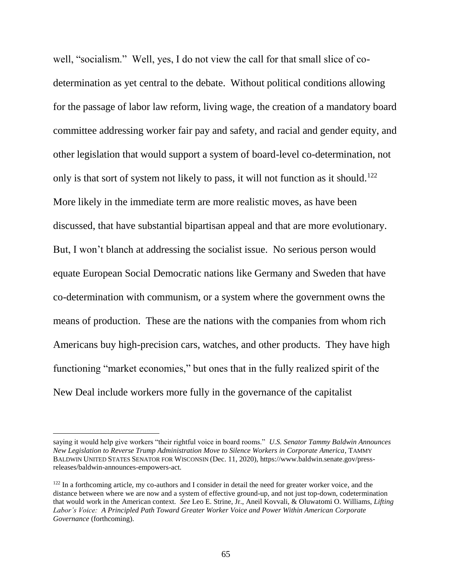well, "socialism." Well, yes, I do not view the call for that small slice of codetermination as yet central to the debate. Without political conditions allowing for the passage of labor law reform, living wage, the creation of a mandatory board committee addressing worker fair pay and safety, and racial and gender equity, and other legislation that would support a system of board-level co-determination, not only is that sort of system not likely to pass, it will not function as it should.<sup>122</sup> More likely in the immediate term are more realistic moves, as have been discussed, that have substantial bipartisan appeal and that are more evolutionary. But, I won't blanch at addressing the socialist issue. No serious person would equate European Social Democratic nations like Germany and Sweden that have co-determination with communism, or a system where the government owns the means of production. These are the nations with the companies from whom rich Americans buy high-precision cars, watches, and other products. They have high functioning "market economies," but ones that in the fully realized spirit of the New Deal include workers more fully in the governance of the capitalist

saying it would help give workers "their rightful voice in board rooms." *U.S. Senator Tammy Baldwin Announces New Legislation to Reverse Trump Administration Move to Silence Workers in Corporate America*, TAMMY BALDWIN UNITED STATES SENATOR FOR WISCONSIN (Dec. 11, 2020), https://www.baldwin.senate.gov/pressreleases/baldwin-announces-empowers-act.

<sup>&</sup>lt;sup>122</sup> In a forthcoming article, my co-authors and I consider in detail the need for greater worker voice, and the distance between where we are now and a system of effective ground-up, and not just top-down, codetermination that would work in the American context. *See* Leo E. Strine, Jr., Aneil Kovvali, & Oluwatomi O. Williams, *Lifting Labor's Voice: A Principled Path Toward Greater Worker Voice and Power Within American Corporate Governance* (forthcoming).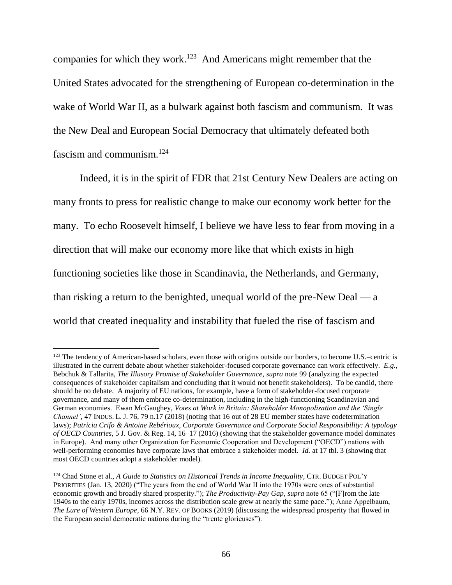companies for which they work.<sup>123</sup> And Americans might remember that the United States advocated for the strengthening of European co-determination in the wake of World War II, as a bulwark against both fascism and communism. It was the New Deal and European Social Democracy that ultimately defeated both fascism and communism.<sup>124</sup>

Indeed, it is in the spirit of FDR that 21st Century New Dealers are acting on many fronts to press for realistic change to make our economy work better for the many. To echo Roosevelt himself, I believe we have less to fear from moving in a direction that will make our economy more like that which exists in high functioning societies like those in Scandinavia, the Netherlands, and Germany, than risking a return to the benighted, unequal world of the pre-New Deal — a world that created inequality and instability that fueled the rise of fascism and

<sup>&</sup>lt;sup>123</sup> The tendency of American-based scholars, even those with origins outside our borders, to become U.S.–centric is illustrated in the current debate about whether stakeholder-focused corporate governance can work effectively.*E.g.*, Bebchuk & Tallarita, *The Illusory Promise of Stakeholder Governance*, *supra* note 99 (analyzing the expected consequences of stakeholder capitalism and concluding that it would not benefit stakeholders). To be candid, there should be no debate.A majority of EU nations, for example, have a form of stakeholder-focused corporate governance, and many of them embrace co-determination, including in the high-functioning Scandinavian and German economies. Ewan McGaughey, *Votes at Work in Britain: Shareholder Monopolisation and the 'Single Channel'*, 47 INDUS. L. J. 76, 79 n.17 (2018) (noting that 16 out of 28 EU member states have codetermination laws); *Patricia Crifo & Antoine Rebérioux, Corporate Governance and Corporate Social Responsibility: A typology of OECD Countries*, 5 J. Gov. & Reg. 14, 16–17 (2016) (showing that the stakeholder governance model dominates in Europe). And many other Organization for Economic Cooperation and Development ("OECD") nations with well-performing economies have corporate laws that embrace a stakeholder model. *Id.* at 17 tbl. 3 (showing that most OECD countries adopt a stakeholder model).

<sup>124</sup> Chad Stone et al., *A Guide to Statistics on Historical Trends in Income Inequality*, CTR. BUDGET POL'Y PRIORITIES (Jan. 13, 2020) ("The years from the end of World War II into the 1970s were ones of substantial economic growth and broadly shared prosperity."); *The Productivity-Pay Gap*, *supra* note 65 ("[F]rom the late 1940s to the early 1970s, incomes across the distribution scale grew at nearly the same pace."); Anne Appelbaum, *The Lure of Western Europe*, 66 N.Y. REV. OF BOOKS (2019) (discussing the widespread prosperity that flowed in the European social democratic nations during the "trente glorieuses").